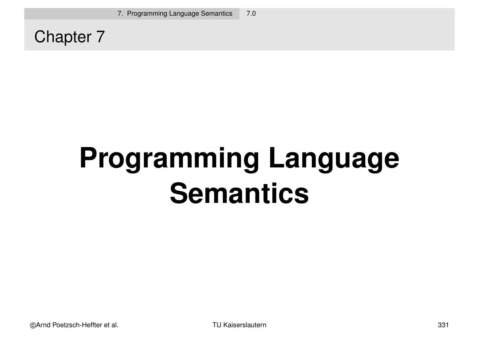Chapter 7

# **Programming Language Semantics**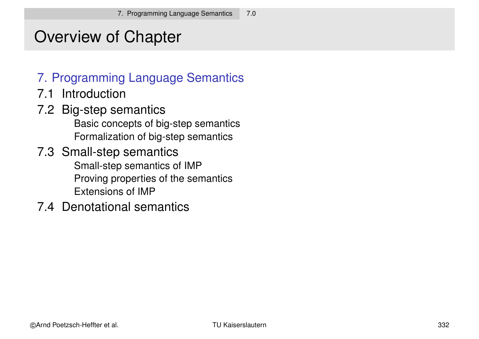#### Overview of Chapter

#### 7. Programming Language Semantics

- 7.1 Introduction
- 7.2 Big-step semantics Basic concepts of big-step semantics Formalization of big-step semantics
- 7.3 Small-step semantics Small-step semantics of IMP Proving properties of the semantics Extensions of IMP
- 7.4 Denotational semantics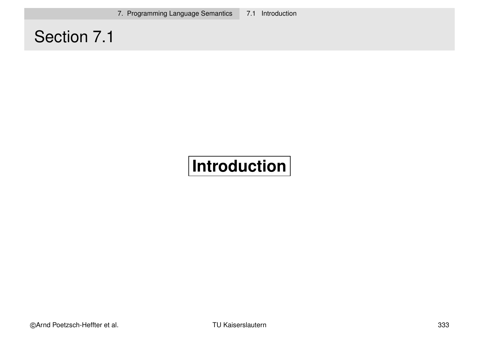7. Programming Language Semantics 7.1 Introduction

#### Section 7.1

#### **Introduction**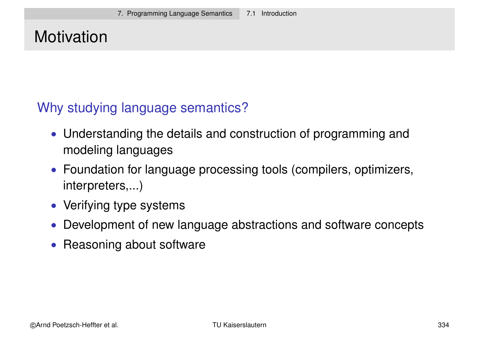#### **Motivation**

#### Why studying language semantics?

- Understanding the details and construction of programming and modeling languages
- Foundation for language processing tools (compilers, optimizers, interpreters,...)
- Verifying type systems
- Development of new language abstractions and software concepts
- Reasoning about software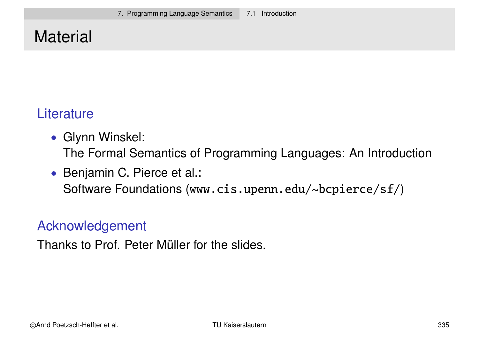#### **Material**

#### **Literature**

- Glynn Winskel: The Formal Semantics of Programming Languages: An Introduction
- Benjamin C. Pierce et al.: Software Foundations (www.cis.upenn.edu/~bcpierce/sf/)

#### Acknowledgement

Thanks to Prof. Peter Müller for the slides.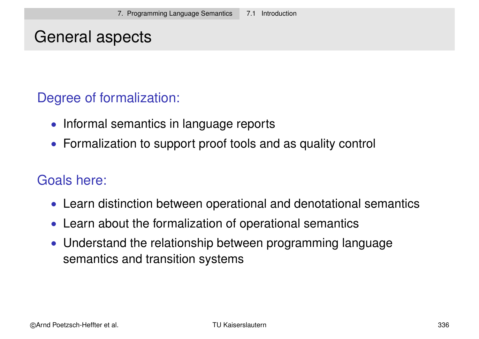#### General aspects

#### Degree of formalization:

- Informal semantics in language reports
- Formalization to support proof tools and as quality control

#### Goals here:

- Learn distinction between operational and denotational semantics
- Learn about the formalization of operational semantics
- Understand the relationship between programming language semantics and transition systems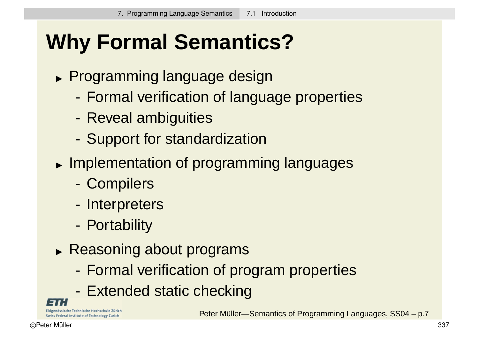## **Why Formal Semantics?**

- Programming language design
	- Formal verification of language properties
	- Reveal ambiguities
	- Support for standardization
- **Implementation of programming languages** 
	- Compilers
	- Interpreters
	- Portability
- **Reasoning about programs** 
	- Formal verification of program properties
	- Extended static checking

Eidgenössische Technische Hochschule Zürich Swiss Federal Institute of Technology Zurich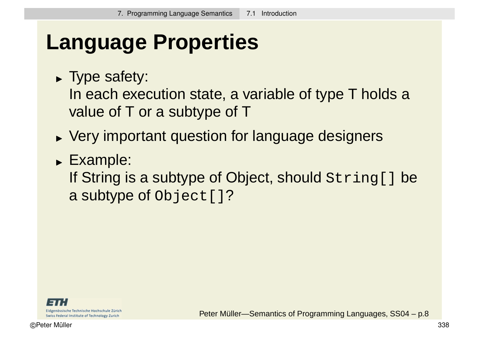## **Language Properties**

Type safety:

In each execution state, a variable of type T holds a value of T or a subtype of T

- Very important question for language designers
- Example:

If String is a subtype of Object, should String [] be a subtype of Object []?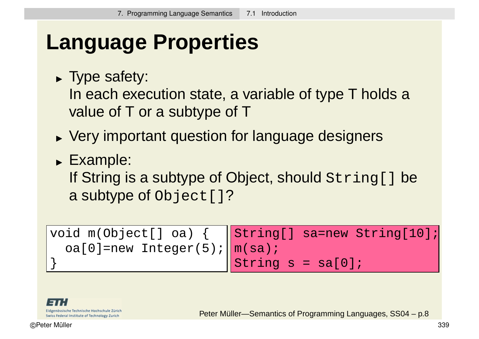### **Language Properties**

Type safety:

In each execution state, a variable of type T holds a value of T or a subtype of T

- Very important question for language designers
- Example:

If String is a subtype of Object, should String [] be a subtype of Object []?

void m(Object[] oa) {  $oa[0]$ =new Integer(5); } String[] sa=new String[10]; m(sa); String  $s = sa[0]$ ;

Eidgenössische Technische Hochschule Zürich Swiss Federal Institute of Technology Zurich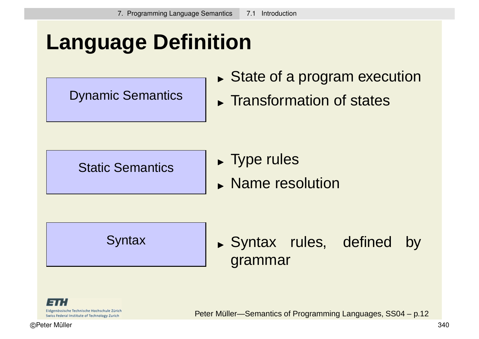## **Language Definition**

Dynamic Semantics

- State of a program execution
- **Transformation of states**

Static Semantics

- **Type rules**
- **Name resolution**

**Syntax** 

Syntax rules, defined by grammar

Eidgenössische Technische Hochschule Zürich Swiss Federal Institute of Technology Zurich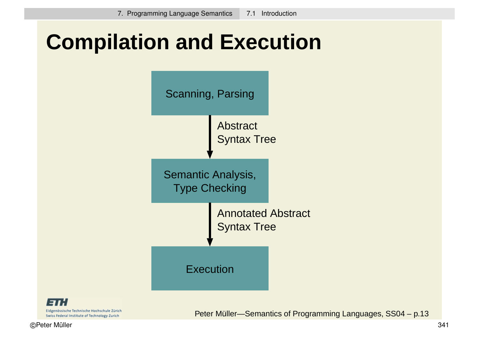### **Compilation and Execution**



Eidgenössische Technische Hochschule Zürich Swiss Federal Institute of Technology Zurich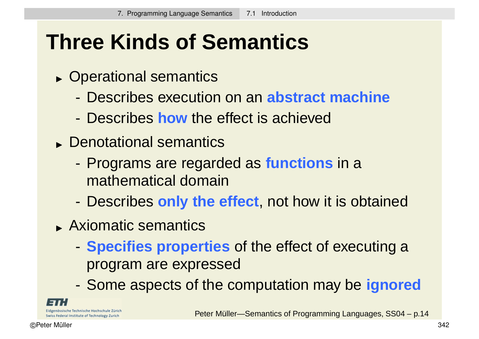## **Three Kinds of Semantics**

- Operational semantics
	- Describes execution on an **abstract machine**
	- Describes **how** the effect is achieved
- Denotational semantics
	- Programs are regarded as **functions** in a mathematical domain
	- Describes **only the effect**, not how it is obtained
- Axiomatic semantics
	- **Specifies properties** of the effect of executing a program are expressed
	- Some aspects of the computation may be **ignored**

nössische Technische Hochschule Zürich Swiss Federal Institute of Technology Zurich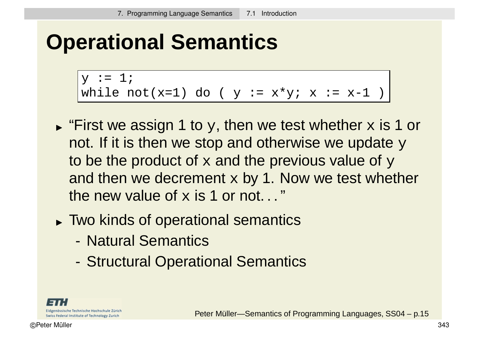### **Operational Semantics**

```
y := 1;while not(x=1) do ( y := x*y; x := x-1 )
```
- $\blacktriangleright$  "First we assign 1 to  $_\text{Y}$ , then we test whether  $\mathrm{\mathbf{x}}$  is 1 or not. If it is then we stop and otherwise we update  $y$ to be the product of  $x$  and the previous value of  $y$ and then we decrement  $x$  by 1. Now we test whether the new value of  $x$  is 1 or not..."
- Two kinds of operational semantics
	- Natural Semantics
	- Structural Operational Semantics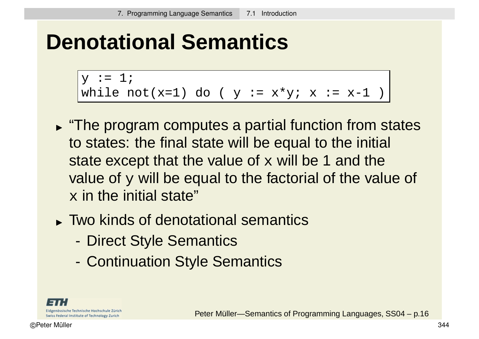#### **Denotational Semantics**

```
y := 1;while not(x=1) do ( y := x*y; x := x-1 )
```
- **The program computes a partial function from states** to states: the final state will be equal to the initial state except that the value of  $x$  will be 1 and the value of y will be equal to the factorial of the value of  $x$  in the initial state"
- Two kinds of denotational semantics
	- Direct Style Semantics
	- Continuation Style Semantics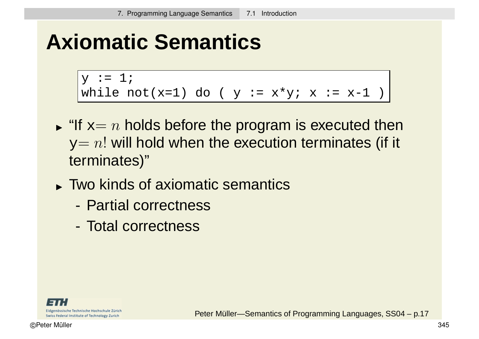### **Axiomatic Semantics**

```
y := 1;while not(x=1) do ( y := x*y; x := x-1 )
```
- $\blacktriangleright$  "If  $x=n$  holds before the program is executed then  $y=n!$  will hold when the execution terminates (if it terminates)"
- Two kinds of axiomatic semantics
	- Partial correctness
	- Total correctness

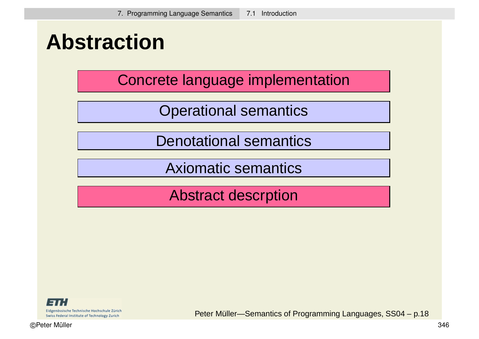#### **Abstraction**

Concrete language implementation

Operational semantics

Denotational semantics

Axiomatic semantics

Abstract descrption

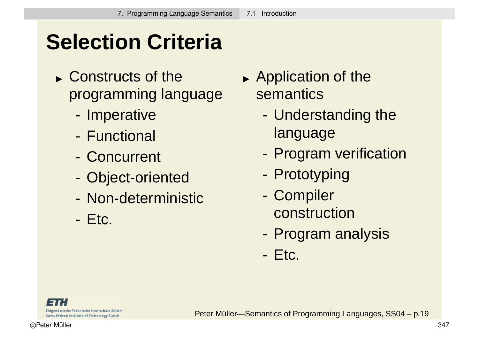## **Selection Criteria**

- Constructs of the programming language
	- Imperative
	- Functional
	- Concurrent
	- Object-oriented
	- Non-deterministic
	- Etc.
- **Application of the** semantics
	- Understanding the language
	- Program verification
	- Prototyping
	- Compiler construction
	- Program analysis
	- Etc.

Eidgenössische Technische Hochschule Zürich Swiss Federal Institute of Technology Zurich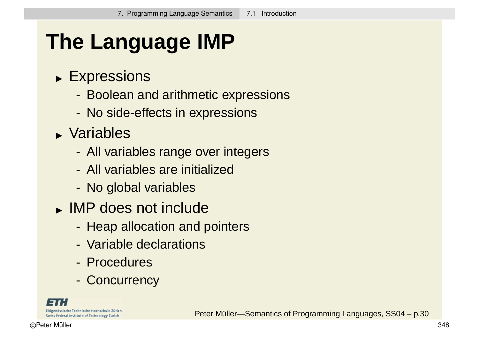## **The Language IMP**

- Expressions
	- Boolean and arithmetic expressions
	- No side-effects in expressions
- Variables
	- All variables range over integers
	- All variables are initialized
	- No global variables
- IMP does not include
	- Heap allocation and pointers
	- Variable declarations
	- Procedures
	- Concurrency

Eidgenössische Technische Hochschule Zürich Swiss Federal Institute of Technology Zurich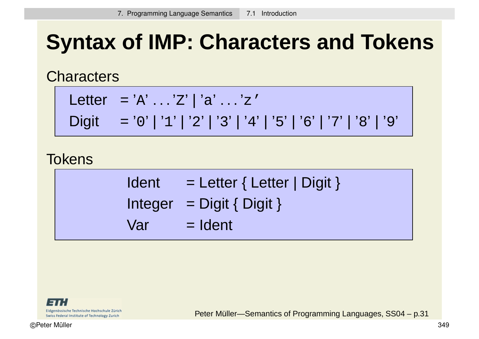## **Syntax of IMP: Characters and Tokens**

**Characters** 

$$
Letter = 'A' ... 'Z' | 'a' ... 'z'
$$
\n
$$
D: a
$$
\n
$$
b
$$
\n
$$
b
$$
\n
$$
b
$$
\n
$$
c
$$
\n
$$
b
$$
\n
$$
d
$$
\n
$$
e
$$
\n
$$
d
$$
\n
$$
e
$$
\n
$$
e
$$
\n
$$
e
$$
\n
$$
e
$$
\n
$$
e
$$
\n
$$
f
$$
\n
$$
e
$$
\n
$$
f
$$
\n
$$
f
$$
\n
$$
f
$$
\n
$$
f
$$
\n
$$
f
$$
\n
$$
f
$$
\n
$$
f
$$
\n
$$
f
$$
\n
$$
f
$$
\n
$$
f
$$
\n
$$
f
$$
\n
$$
f
$$
\n
$$
f
$$
\n
$$
f
$$
\n
$$
f
$$
\n
$$
f
$$
\n
$$
f
$$
\n
$$
f
$$
\n
$$
f
$$
\n
$$
f
$$
\n
$$
f
$$
\n
$$
f
$$
\n
$$
f
$$
\n
$$
f
$$
\n
$$
f
$$
\n
$$
f
$$
\n
$$
f
$$
\n
$$
f
$$
\n
$$
f
$$
\n
$$
f
$$
\n
$$
f
$$
\n
$$
f
$$
\n
$$
f
$$
\n
$$
f
$$
\n
$$
f
$$
\n
$$
f
$$
\n
$$
f
$$
\n
$$
f
$$
\n
$$
f
$$
\n
$$
f
$$
\n
$$
f
$$
\n
$$
f
$$
\n
$$
f
$$
\n
$$
f
$$
\n
$$
f
$$
\n
$$
f
$$
\n
$$
f
$$
\n
$$
f
$$
\n
$$
f
$$
\n
$$
f
$$
\n
$$
f
$$
\n

Digit = '0' | '1' | '2' | '3' | '4' | '5' | '6' | '7' | '8' | '9'

**Tokens** 

| <b>Ident</b> | $=$ Letter { Letter   Digit } |
|--------------|-------------------------------|
|              | Integer = $Digit { Digit }$   |
| Varl         | $=$ Ident                     |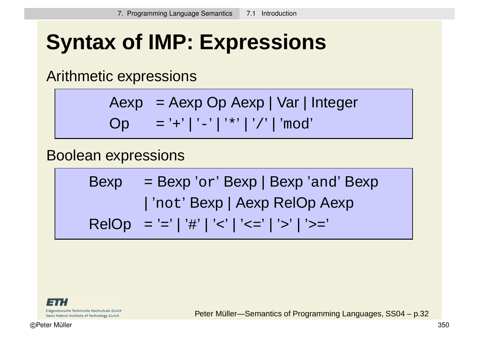## **Syntax of IMP: Expressions**

Arithmetic expressions

$$
Aexp = Aexp Op Aexp | Var | Integer
$$
  
Op = '+' | '-' | '\*' | '/' | 'mod'

#### Boolean expressions

Bexp = Bexp ' or ' Bexp | Bexp 'and' Bexp | 'not' Bexp | Aexp RelOp Aexp RelOp = ' = ' | '#' | '<' | '<=' | '>' | '>='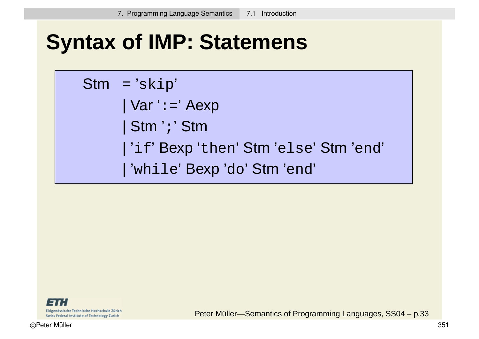### **Syntax of IMP: Statemens**

Stm = 'skip' | Var ':=' Aexp | Stm ';' Stm | 'if' Bexp 'then' Stm 'else' Stm 'end' | 'while' Bexp 'do' Stm 'end'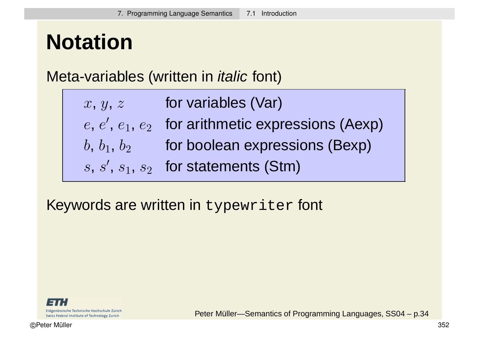## **Notation**

#### Meta-variables (written in *italic* font)

| x, y, z | for variables (Var)                                 |
|---------|-----------------------------------------------------|
|         | $e, e', e_1, e_2$ for arithmetic expressions (Aexp) |
|         | $b, b_1, b_2$ for boolean expressions (Bexp)        |
|         | $s, s', s_1, s_2$ for statements (Stm)              |

#### Keywords are written in typewriter font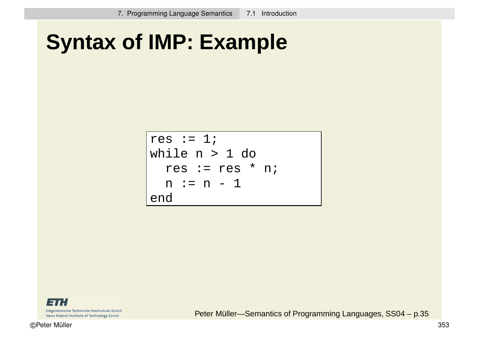### **Syntax of IMP: Example**

$$
\begin{cases}\n\text{res} := 1; \\
\text{while } n > 1 \text{ do} \\
\text{res} := \text{res} * n; \\
n := n - 1 \\
\text{end}\n\end{cases}
$$

Eidgenössische Technische Hochschule Zürich Swiss Federal Institute of Technology Zurich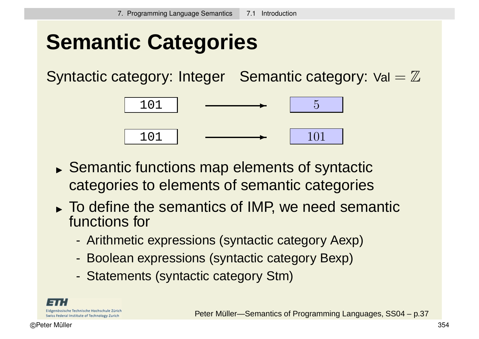## **Semantic Categories**

Syntactic category: Integer Semantic category:  $Val = \mathbb{Z}$ 



- Semantic functions map elements of syntactic categories to elements of semantic categories
- To define the semantics of IMP, we need semantic functions for
	- Arithmetic expressions (syntactic category Aexp)
	- Boolean expressions (syntactic category Bexp)
	- Statements (syntactic category Stm)

Eidgenössische Technische Hochschule Zürich Swiss Federal Institute of Technology Zurich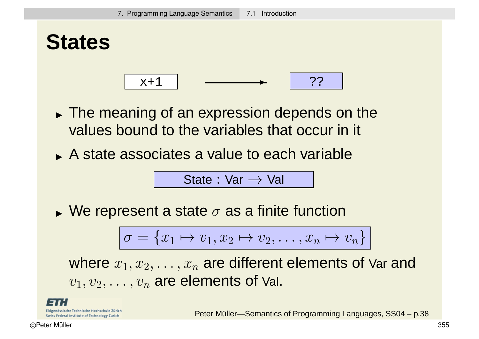

- The meaning of an expression depends on the values bound to the variables that occur in it
- A state associates a value to each variable

State :  $Var \rightarrow Val$ 

 $\blacktriangleright$  We represent a state  $\sigma$  as a finite function

$$
\sigma = \{x_1 \mapsto v_1, x_2 \mapsto v_2, \dots, x_n \mapsto v_n\}
$$

where  $x_1, x_2, \ldots, x_n$  are different elements of Var and  $v_1, v_2, \ldots, v_n$  are elements of Val.

Eidgenössische Technische Hochschule Zürich Swiss Federal Institute of Technology Zurich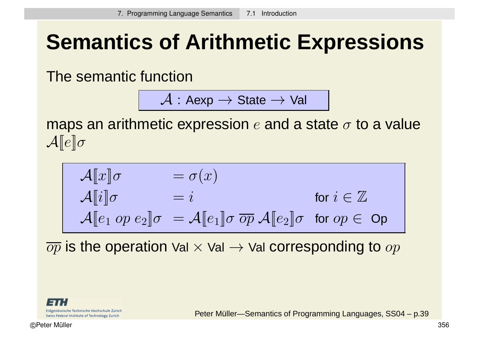## **Semantics of Arithmetic Expressions**

The semantic function

$$
\mathcal{A} : \mathsf{Aexp} \to \mathsf{State} \to \mathsf{Val}
$$

maps an arithmetic expression  $e$  and a state  $\sigma$  to a value  $\mathcal{A}[\![e]\!] \sigma$ 

$$
\begin{array}{ll}\n\mathcal{A}[\![x]\!] \sigma & = \sigma(x) \\
\mathcal{A}[\![i]\!] \sigma & = i & \text{for } i \in \mathbb{Z} \\
\mathcal{A}[\![e_1 \text{ op } e_2]\!] \sigma & = \mathcal{A}[\![e_1]\!] \sigma \overline{\text{ op }} \mathcal{A}[\![e_2]\!] \sigma \text{ for } \text{op } \in \text{Op}\n\end{array}
$$

 $\overline{op}$  is the operation Val  $\times$  Val  $\rightarrow$  Val corresponding to  $op$ 

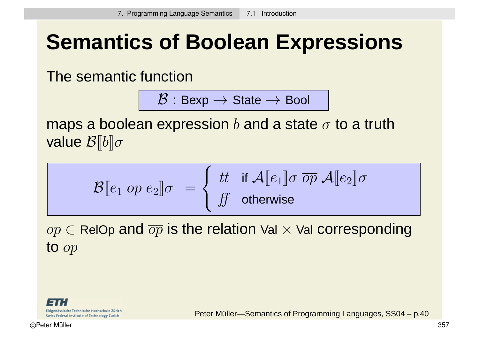## **Semantics of Boolean Expressions**

The semantic function

 $\mathcal{B}:$  Bexp  $\rightarrow$  State  $\rightarrow$  Bool

maps a boolean expression b and a state  $\sigma$  to a truth value  $\mathcal{B}[[b]]\sigma$ 

$$
\mathcal{B}[\![e_1 \text{ op } e_2]\!] \sigma \ = \left\{ \begin{array}{ll} \text{tt} & \text{if } \mathcal{A}[\![e_1]\!] \sigma \ \overline{\text{op}} \ \mathcal{A}[\![e_2]\!] \sigma \\ \text{ft} & \text{otherwise} \end{array} \right.
$$

 $op \in$  RelOp and  $\overline{op}$  is the relation Val  $\times$  Val corresponding to op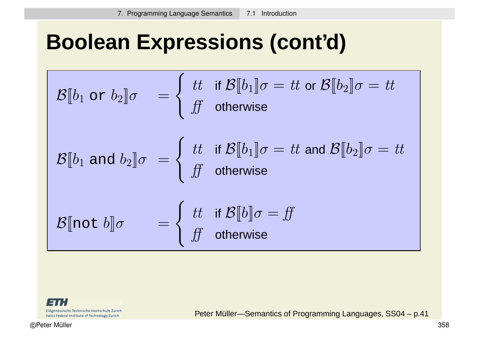### **Boolean Expressions (cont'd)**

$$
\mathcal{B}\llbracket b_1 \text{ or } b_2 \rrbracket \sigma = \begin{cases} \n\text{ } & \text{if } \mathcal{B}\llbracket b_1 \rrbracket \sigma = \text{ } \text{ } & \text{if } \mathcal{B}\llbracket b_2 \rrbracket \sigma = \text{ } \text{ } & \text{if } \mathcal{B}\llbracket b_1 \rrbracket \sigma = \text{ } & \text{if } \mathcal{B}\llbracket b_2 \rrbracket \sigma = \text{ } & \text{if } \mathcal{B}\llbracket b_2 \rrbracket \sigma = \text{ } & \text{if } \mathcal{B}\llbracket b_2 \rrbracket \sigma = \text{ } & \text{if } \mathcal{B}\llbracket b_2 \rrbracket \sigma = \text{ } & \text{if } \mathcal{B}\llbracket b_2 \rrbracket \sigma = \text{ } & \text{if } \mathcal{B}\llbracket b \rrbracket \sigma = \text{ } & \text{if } \mathcal{B}\llbracket b \rrbracket \sigma = \text{ } & \text{if } \mathcal{B}\llbracket b \rrbracket \sigma = \text{ } & \text{if } \mathcal{B}\llbracket b \rrbracket \sigma = \text{ } & \text{if } \mathcal{B}\llbracket b \rrbracket \sigma = \text{ } & \text{if } \mathcal{B}\llbracket b \rrbracket \sigma = \text{ } & \text{if } \mathcal{B}\llbracket b \rrbracket \sigma = \text{ } & \text{if } \mathcal{B}\llbracket b \rrbracket \sigma = \text{ } & \text{if } \mathcal{B}\llbracket b \rrbracket \sigma = \text{ } & \text{if } \mathcal{B}\llbracket b \rrbracket \sigma = \text{ } & \text{if } \mathcal{B}\llbracket b \rrbracket \sigma = \text{ } & \text{if } \mathcal{B}\llbracket b \rrbracket \sigma = \text{ } & \text{if } \mathcal{B}\llbracket b \rrbracket \sigma = \text{ } & \text{if } \mathcal{B}\llbracket b \rrbracket \sigma = \text{ } & \text{if } \mathcal{B}\llbracket b \rrbracket \sigma = \text{ } & \text{if } \mathcal{B}\llbracket b \rrbracket \sigma = \text{ } &
$$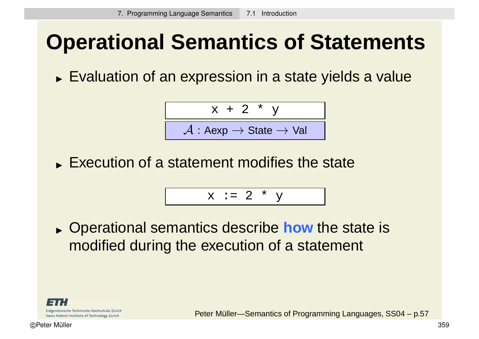### **Operational Semantics of Statements**

Evaluation of an expression in a state yields a value

$$
\begin{array}{c|c}\n & x + 2 * y \\
\hline\n\mathcal{A}: \mathsf{Aexp} \rightarrow \mathsf{State} \rightarrow \mathsf{Val}\n\end{array}
$$

**Execution of a statement modifies the state** 

$$
x := 2 * y
$$

 Operational semantics describe **how** the state is modified during the execution of a statement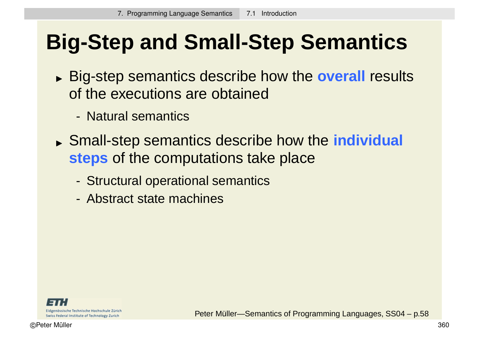## **Big-Step and Small-Step Semantics**

- Big-step semantics describe how the **overall** results of the executions are obtained
	- Natural semantics
- Small-step semantics describe how the **individual steps** of the computations take place
	- Structural operational semantics
	- Abstract state machines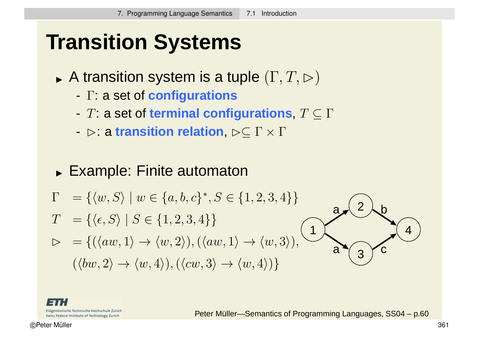## **Transition Systems**

- $\blacktriangleright$  A transition system is a tuple  $(\Gamma, T, \rhd)$ 
	- Γ: a set of **configurations**
	- T: a set of **terminal configurations**, T ⊆ Γ
	- **⊳: a transition relation**,  $\triangleright$ ⊂ Γ  $\times$  Γ
- Example: Finite automaton

$$
\Gamma = \{ \langle w, S \rangle \mid w \in \{a, b, c\}^*, S \in \{1, 2, 3, 4\} \}
$$

- $T = {\langle \langle \epsilon, S \rangle | S \in \{1, 2, 3, 4\} \}$
- $\triangleright = \{(\langle aw, 1 \rangle \to \langle w, 2 \rangle), (\langle aw, 1 \rangle \to \langle w, 3 \rangle)\}$  $(\langle bw, 2 \rangle \rightarrow \langle w, 4 \rangle), (\langle cw, 3 \rangle \rightarrow \langle w, 4 \rangle)\}$



Eidgenössische Technische Hochschule Zürich Swiss Federal Institute of Technology Zurich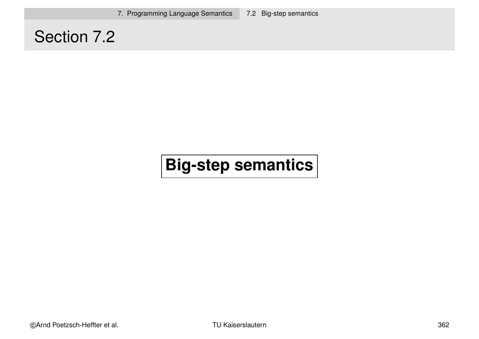7. Programming Language Semantics 7.2 Big-step semantics

#### Section 7.2

#### **Big-step semantics**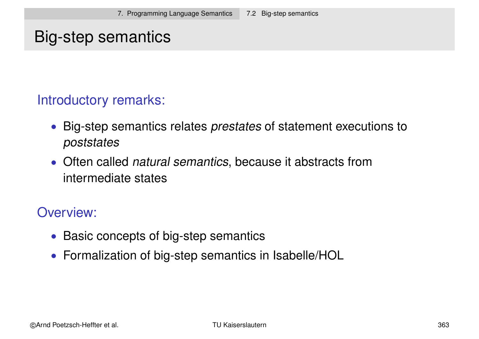#### Big-step semantics

#### Introductory remarks:

- Big-step semantics relates *prestates* of statement executions to poststates
- Often called *natural semantics*, because it abstracts from intermediate states

#### Overview:

- Basic concepts of big-step semantics
- Formalization of big-step semantics in Isabelle/HOL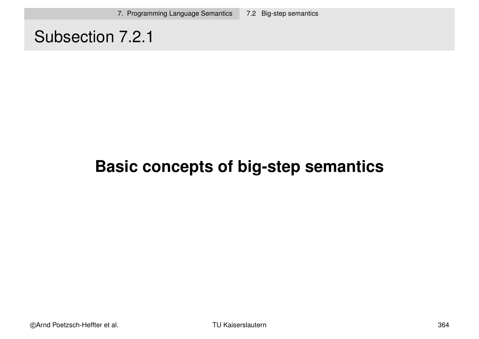#### Subsection 7.2.1

#### **Basic concepts of big-step semantics**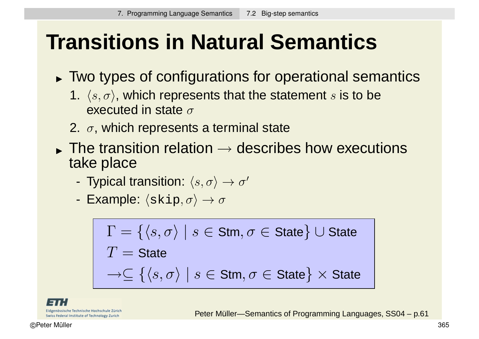## **Transitions in Natural Semantics**

- Two types of configurations for operational semantics
	- 1.  $\langle s, \sigma \rangle$ , which represents that the statement s is to be executed in state  $\sigma$
	- 2.  $\sigma$ , which represents a terminal state
- $\blacktriangleright$  The transition relation  $\rightarrow$  describes how executions take place
	- Typical transition:  $\langle s, \sigma \rangle \rightarrow \sigma'$
	- Example:  $\langle$ skip,  $\sigma \rangle \rightarrow \sigma$

$$
\Gamma = \{ \langle s, \sigma \rangle \mid s \in \text{Stm}, \sigma \in \text{State} \} \cup \text{State}
$$
\n
$$
T = \text{State}
$$
\n
$$
\rightarrow \subseteq \{ \langle s, \sigma \rangle \mid s \in \text{Stm}, \sigma \in \text{State} \} \times \text{State}
$$

Eidgenössische Technische Hochschule Zürich Swiss Federal Institute of Technology Zurich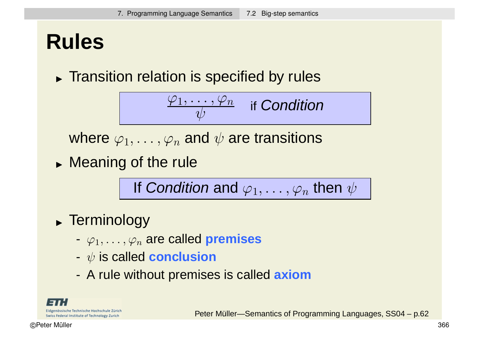### **Rules**

**Transition relation is specified by rules** 

$$
\boxed{\frac{\varphi_1,\ldots,\varphi_n}{\psi}\quad\text{if Condition}}
$$

where  $\varphi_1, \ldots, \varphi_n$  and  $\psi$  are transitions

**Meaning of the rule** 

If Condition and  $\varphi_1, \ldots, \varphi_n$  then  $\psi$ 

- Terminology
	- $-\varphi_1,\ldots,\varphi_n$  are called **premises**
	- ψ is called **conclusion**
	- A rule without premises is called **axiom**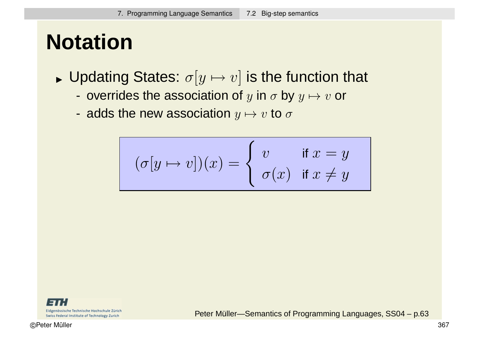## **Notation**

- $\blacktriangleright$  Updating States:  $\sigma[y \mapsto v]$  is the function that
	- overrides the association of y in  $\sigma$  by  $y \mapsto v$  or
	- adds the new association  $y \mapsto v$  to  $\sigma$

$$
(\sigma[y \mapsto v])(x) = \begin{cases} v & \text{if } x = y \\ \sigma(x) & \text{if } x \neq y \end{cases}
$$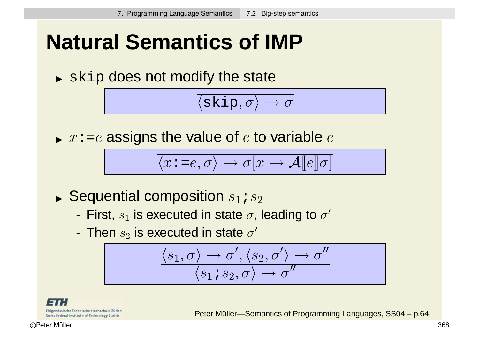### **Natural Semantics of IMP**

 $\blacktriangleright$  skip does not modify the state

$$
\langle \text{skip}, \sigma \rangle \rightarrow \sigma
$$

 $\blacktriangleright$   $x$ :=e assigns the value of  $e$  to variable  $e$ 

$$
\overline{\langle x \mathbin{:} = e, \sigma \rangle \to \sigma[x \mapsto \mathcal{A}[[e]] \sigma]}
$$

- $\blacktriangleright$  Sequential composition  $s_1$  ;  $s_2$ 
	- First,  $s_1$  is executed in state  $\sigma$ , leading to  $\sigma'$
	- Then  $s_2$  is executed in state  $\sigma'$

$$
\frac{\langle s_1,\sigma\rangle\to\sigma',\langle s_2,\sigma'\rangle\to\sigma''}{\langle s_1\mathbin{\raisebox{1pt}{$\scriptstyle\circ$}}\mathbin{\raisebox{1pt}{$\scriptstyle\circ$}}\mathbin{\raisebox{1pt}{$\scriptstyle\circ$}}\mathbin{\raisebox{1pt}{$\scriptstyle\circ$}}\mathbin{\raisebox{1pt}{$\scriptstyle\circ$}}\mathbin{\raisebox{1pt}{$\scriptstyle\circ$}}\mathbin{\raisebox{1pt}{$\scriptstyle\circ$}}\mathbin{\raisebox{1pt}{$\scriptstyle\circ$}}\mathbin{\raisebox{1pt}{$\scriptstyle\circ$}}\mathbin{\raisebox{1pt}{$\scriptstyle\circ$}}\mathbin{\raisebox{1pt}{$\scriptstyle\circ$}}\mathbin{\raisebox{1pt}{$\scriptstyle\circ$}}\mathbin{\raisebox{1pt}{$\scriptstyle\circ$}}}
$$

Eidgenössische Technische Hochschule Zürich Swiss Federal Institute of Technology Zurich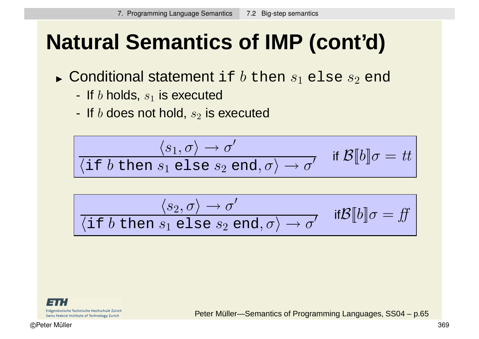# **Natural Semantics of IMP (cont'd)**

- $\blacktriangleright$  Conditional statement <code>if</code>  $b$  then  $s_1$  <code>else</code>  $s_2$  <code>end</code>
	- If  $b$  holds,  $s_1$  is executed
	- If  $b$  does not hold,  $s_2$  is executed

$$
\frac{\langle s_1, \sigma \rangle \to \sigma'}{\langle \text{if } b \text{ then } s_1 \text{ else } s_2 \text{ end}, \sigma \rangle \to \sigma'} \quad \text{if } \mathcal{B}[\![b]\!]\sigma = tt
$$

$$
\frac{\langle s_2, \sigma \rangle \to \sigma'}{\langle \text{if } b \text{ then } s_1 \text{ else } s_2 \text{ end}, \sigma \rangle \to \sigma'} \quad \text{if } \mathcal{B}[\![b]\!]\sigma = \text{ff}
$$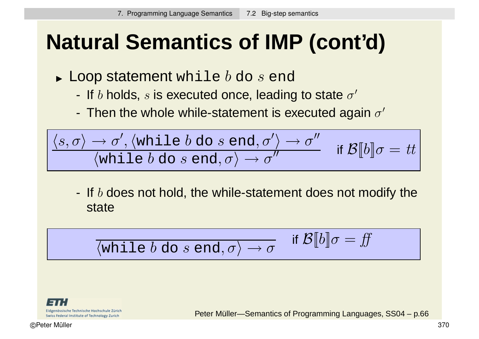# **Natural Semantics of IMP (cont'd)**

- $\blacktriangleright$  Loop statement while  $b$  do  $s$  end
	- If b holds, s is executed once, leading to state  $\sigma'$
	- Then the whole while-statement is executed again  $\sigma'$

$$
\boxed{\langle s, \sigma\rangle \to \sigma', \langle \text{while } b \text{ do } s \text{ end}, \sigma'\rangle \to \sigma'' \quad \text{if } \mathcal{B} \llbracket b \rrbracket \sigma = tt }
$$

- If  $b$  does not hold, the while-statement does not modify the state

$$
\boxed{\boxed{\quad \text{while } b \text{ do } s \text{ end}, \sigma \rangle \to \sigma \quad \text{if } \mathcal{B}[b] \sigma = ff}
$$

Eidgenössische Technische Hochschule Zürich Swiss Federal Institute of Technology Zurich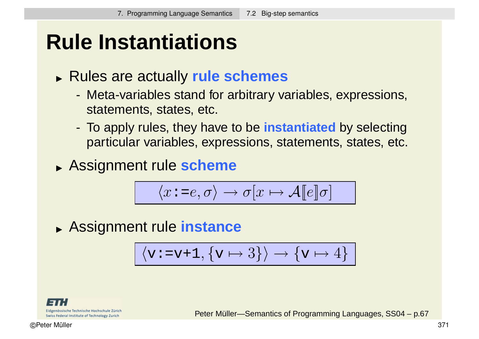### **Rule Instantiations**

- Rules are actually **rule schemes**
	- Meta-variables stand for arbitrary variables, expressions, statements, states, etc.
	- To apply rules, they have to be **instantiated** by selecting particular variables, expressions, statements, states, etc.
- Assignment rule **scheme**

$$
\langle x \mathbin{\raisebox{0.3ex}{:}\!=} e, \sigma \rangle \to \sigma[x \mapsto \mathcal{A}[\![e]\!] \sigma]
$$

Assignment rule **instance**

$$
\langle v\!:=\!v\!+\!1,\{v\mapsto 3\}\rangle\rightarrow \{v\mapsto 4\}
$$

Eidgenössische Technische Hochschule Zürich Swiss Federal Institute of Technology Zurich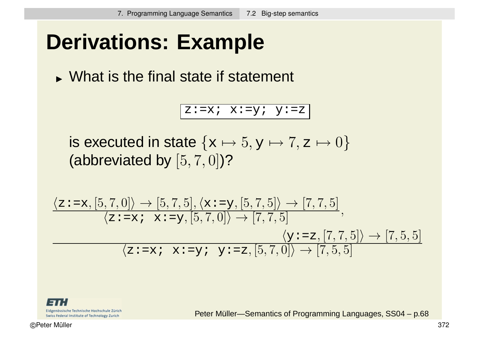### **Derivations: Example**

What is the final state if statement

z:=x;  $x:=y$ ;  $y:=z$ 

is executed in state  $\{x \mapsto 5, y \mapsto 7, z \mapsto 0\}$ (abbreviated by [5, 7, 0])?

$$
\frac{\langle \mathbf{z} \mathbf{:}= \mathbf{x}, [5,7,0] \rangle \rightarrow [5,7,5], \langle \mathbf{x} \mathbf{:}= \mathbf{y}, [5,7,5] \rangle \rightarrow [7,7,5]}{\langle \mathbf{z} \mathbf{:}= \mathbf{x} \mathbf{:} \mathbf{x} \mathbf{:}= \mathbf{y}, [5,7,0] \rangle \rightarrow [7,7,5]} \cdot \frac{\langle \mathbf{y} \mathbf{:}= \mathbf{z}, [7,7,5] \rangle \rightarrow [7,5,5]}{\langle \mathbf{z} \mathbf{:}= \mathbf{x} \mathbf{:} \mathbf{x} \mathbf{:}= \mathbf{y} \mathbf{:} \mathbf{y} \mathbf{:}= \mathbf{z}, [5,7,0] \rangle \rightarrow [7,5,5]}
$$

Eidgenössische Technische Hochschule Zürich Swiss Federal Institute of Technology Zurich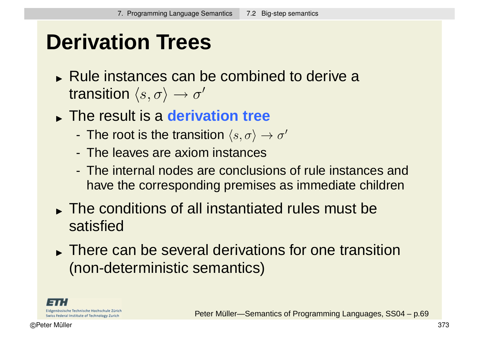### **Derivation Trees**

- Rule instances can be combined to derive a transition  $\langle s, \sigma \rangle \rightarrow \sigma'$
- The result is a **derivation tree**
	- The root is the transition  $\langle s, \sigma \rangle \rightarrow \sigma'$
	- The leaves are axiom instances
	- The internal nodes are conclusions of rule instances and have the corresponding premises as immediate children
- The conditions of all instantiated rules must be satisfied
- There can be several derivations for one transition (non-deterministic semantics)

Eidgenössische Technische Hochschule Zürich Swiss Federal Institute of Technology Zurich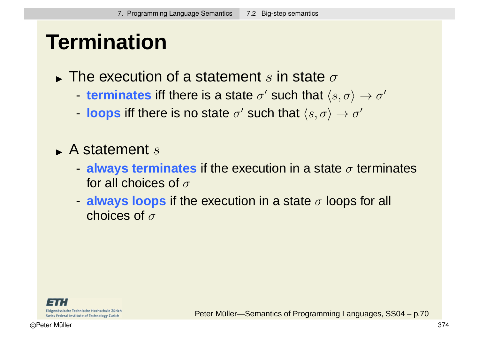### **Termination**

- $\blacktriangleright$  The execution of a statement  $s$  in state  $\sigma$ 
	- **terminates** iff there is a state  $\sigma'$  such that  $\langle s, \sigma \rangle \rightarrow \sigma'$
	- **loops** iff there is no state  $\sigma'$  such that  $\langle s, \sigma \rangle \rightarrow \sigma'$
- $\blacktriangleright$  A statement  $s$ 
	- $\blacksquare$  **always terminates** if the execution in a state  $\sigma$  terminates for all choices of  $\sigma$
	- **always loops** if the execution in a state σ loops for all choices of  $\sigma$

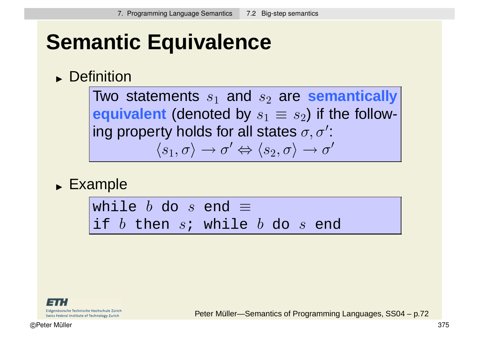# **Semantic Equivalence**

#### **Definition**

Two statements  $s_1$  and  $s_2$  are **semantically equivalent** (denoted by  $s_1 \equiv s_2$ ) if the following property holds for all states  $\sigma, \sigma'$ :  $\langle s_1,\sigma\rangle\to\sigma'\Leftrightarrow\langle s_2,\sigma\rangle\to\sigma'$ 

Example

while  $b$  do  $s$  end  $\equiv$ if *b* then *s*; while *b* do *s* end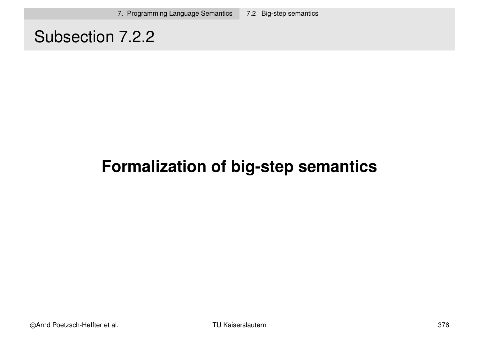### Subsection 7.2.2

### **Formalization of big-step semantics**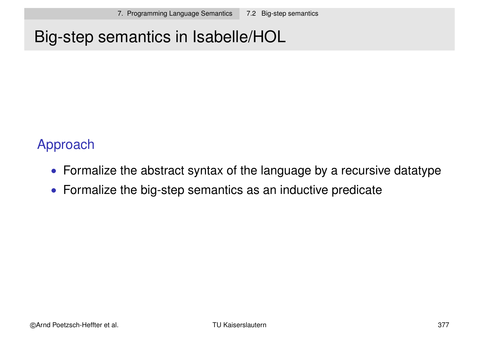### Big-step semantics in Isabelle/HOL

#### Approach

- Formalize the abstract syntax of the language by a recursive datatype
- Formalize the big-step semantics as an inductive predicate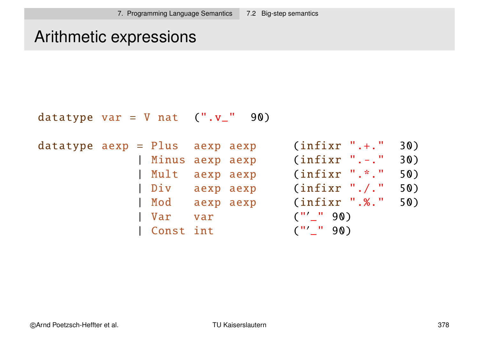#### Arithmetic expressions

```
datatype var = V nat (''.v'_' 90)
datatype aexp = Plus aexp aexp (infixr ".+." 30)
            | Minus aexp aexp
                                        .-.
" 30)
             | Mult aexp aexp (infixr ".*." 50)
            | Div aexp aexp (infixr "./." 50)
            | Mod aexp aexp (infixr ".%." 50)
            | Var var ("
                                  '_" 90)
            | Const int
                                  '_" 90)
```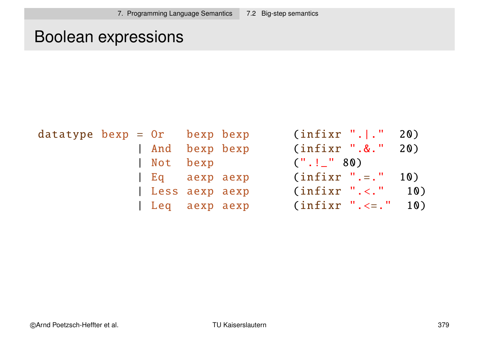### Boolean expressions

| $datatype\ bexp = 0r\ bexp\ bexp$ |  |                | (intfixr ". . " 20)             |
|-----------------------------------|--|----------------|---------------------------------|
|                                   |  | And bexp bexp  | (infixr ". &. " 20)             |
|                                   |  | Not bexp       | $($ " $\ldots$ " $\ldots$ " 80) |
|                                   |  | Eq aexp aexp   | $(infixr ".-." 10)$             |
|                                   |  | Less aexp aexp | <b>10</b><br>$(infixr$ ".<."    |
|                                   |  | Leq aexp aexp  | 10<br>$(infixr$ ". <= . "       |

| $= 0r$         | bexp bexp | $(infixr "$        | 20) |
|----------------|-----------|--------------------|-----|
| And            | bexp bexp | $(infixr$ ".&."    | 20) |
| Not            | bexp      | (''.'.'.'' 80)     |     |
| Eq aexp aexp   |           | $(infixr ".-."$    | 10) |
| Less aexp aexp |           | $(infixr ".-$ ."   | 10) |
| Leq aexp aexp  |           | $(infixr ".-)=$ ." | 10) |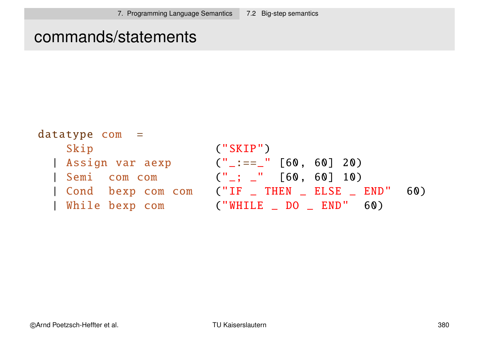#### commands/statements

```
datatypecom =Skip ("SKIP")
  \text{Assign var aexp} ("_:==_" [60, 60] 20)
  Semi com com ("_; _" [60, 60] 10)
  | Cond bexp com com ("IF _ THEN _ ELSE _ END" 60)
  While bexp com ("WHILE _ DO _ END" 60)
```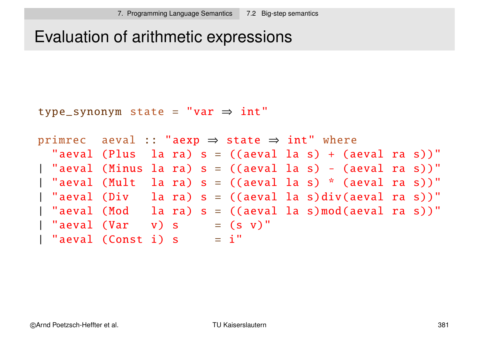### Evaluation of arithmetic expressions

```
type_synonym state =
"var ⇒ int"
```

```
primrec aeval :: "aexp \Rightarrow state \Rightarrow int" where
  "aeval (Plus la ra) s = ((aeval la s) + (aeval ra s))"
| "aeval (Minus la ra) s = ((aeval la s) - (aeval ra s))"
| "aeval (Mult la ra) s = ((aeval la s) * (aeval ra s))"
| "aeval (Div la ra) s = ((aeval la s)div(aeval ra s))"
| "aeval (Mod la ra) s = ((aeval la s)mod(aeval ra s))"
| "aeval (Var v) s = (s v)"
| "aeval (Const i) s = i"
```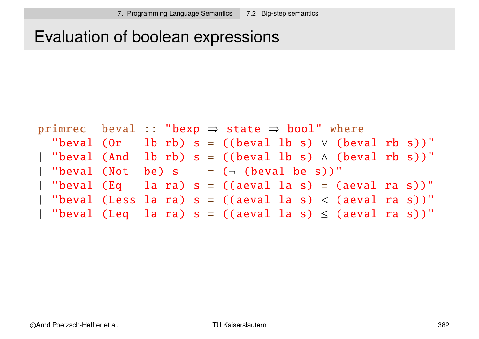### Evaluation of boolean expressions

```
primrec beval :: "bexp \Rightarrow state \Rightarrow bool" where
  "beval (Or lb rb) s = ((beval lb s) \vee (beval rb s))"
 "beval (And lb rb) s = ((beval lb s) \wedge (beval rb s))"
 "beval (Not be) s = (- (beval be s))"
| "beval (Eq la ra) s = ((aeval la s) = (aeval ra s))"
 | "beval (Less la ra) s = ((aeval la s) < (aeval ra s))"
| "beval (Leq la ra) s = ((aeval la s) \le (aeval ra s))"
```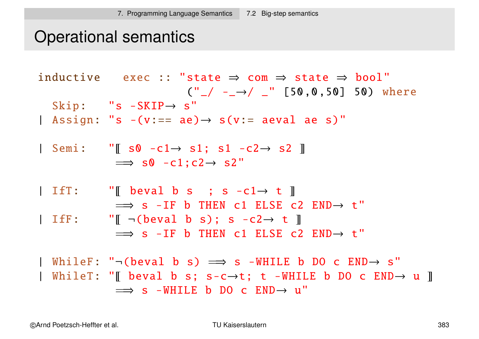### Operational semantics

|              | inductive exec :: "state $\Rightarrow$ com $\Rightarrow$ state $\Rightarrow$ bool"<br>$(\prime\prime$ $\_{/}$ $\rightarrow$ $\_{/}$ $\_{''}$ [50,0,50] 50) where                                                                 |
|--------------|----------------------------------------------------------------------------------------------------------------------------------------------------------------------------------------------------------------------------------|
|              | Skip: $"s - \text{SKIP} \rightarrow s"$<br>  Assign: "s $-(v:== ae) \rightarrow s(v:= ae) a$                                                                                                                                     |
|              | Semi: "[ $s0 - c1 \rightarrow s1$ ; $s1 - c2 \rightarrow s2$ ]]<br>$\implies$ s0 -c1;c2 $\rightarrow$ s2"                                                                                                                        |
| $I$ if $T$ : | "[ beval b s ; s -c1 $\rightarrow$ t ]<br>$\implies$ s -IF b THEN c1 ELSE c2 END $\rightarrow$ t"                                                                                                                                |
|              | IfF: $\blacksquare \blacksquare$ - (beval b s); s - c2 $\rightarrow$ t $\blacksquare$<br>$\implies$ s -IF b THEN c1 ELSE c2 END $\rightarrow$ t"                                                                                 |
|              | WhileF: " $-(\text{beval } b s) \implies s - \text{WHILE } b DO c END \rightarrow s"$<br>  WhileT: "[[ beval b s; s-c $\rightarrow$ t; t -WHILE b DO c END $\rightarrow$ u ]]<br>$\implies$ s -WHILE b DO c END $\rightarrow$ u" |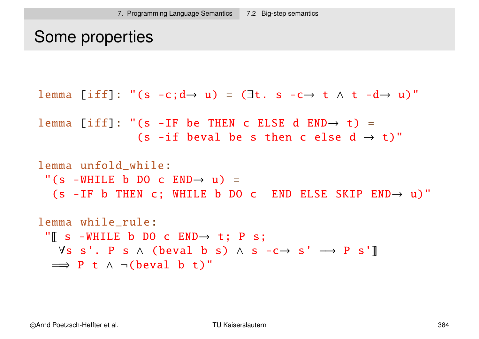```
Some properties
```

```
lemma [iff]: "(s -c;d \rightarrow u) = (\existst. s -c\rightarrow t \land t -d\rightarrow u)"
```

```
lemma [iff]: "(s -IF be THEN c ELSE d END\rightarrow t) =
                 (s -if beval be s then c else d \rightarrow t)"
```

```
lemma unfold_while:
 "(s -WHILE b DO c END \rightarrow u) =
  (s -IF b THEN c; WHILE b DO c END ELSE SKIP END\rightarrow u)"
```

```
lemma while_rule:
 "\parallel s -WHILE b DO c END\rightarrow t; P s;
   \forall s \ s'. \ P \ s \ \wedge \ ( \text{beval} \ b \ s) \ \wedge \ s \ -c \rightarrow \ s' \ \longrightarrow \ P \ s' \ ]\implies P t \land \neg (beval b t)"
```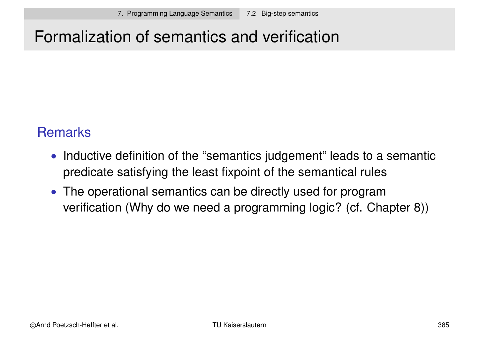### Formalization of semantics and verification

#### **Remarks**

- Inductive definition of the "semantics judgement" leads to a semantic predicate satisfying the least fixpoint of the semantical rules
- The operational semantics can be directly used for program verification (Why do we need a programming logic? (cf. Chapter 8))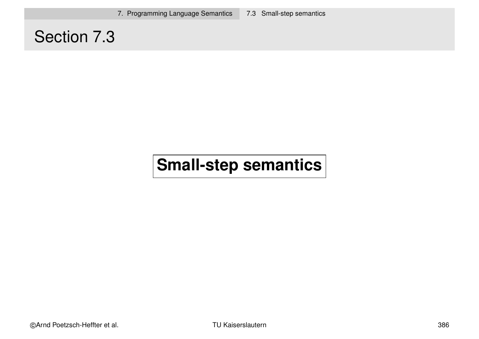7. Programming Language Semantics 7.3 Small-step semantics

### Section 7.3

### **Small-step semantics**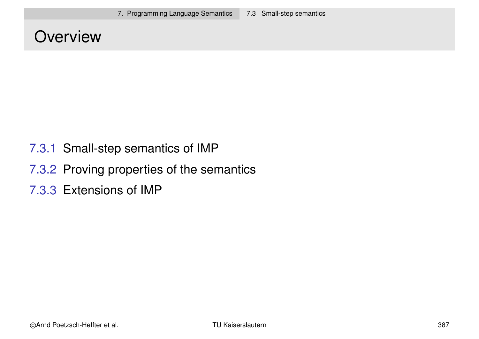#### **Overview**

- 7.3.1 Small-step semantics of IMP
- 7.3.2 Proving properties of the semantics
- 7.3.3 Extensions of IMP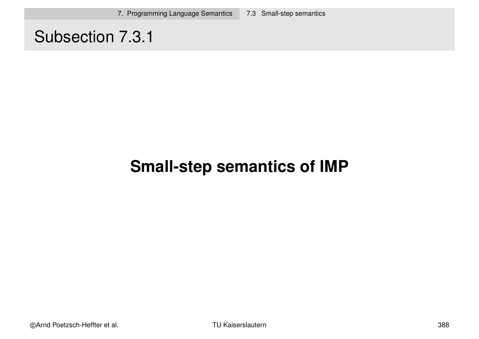### Subsection 7.3.1

### **Small-step semantics of IMP**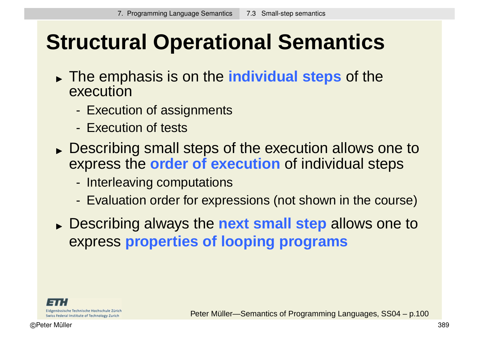# **Structural Operational Semantics**

- The emphasis is on the **individual steps** of the execution
	- Execution of assignments
	- Execution of tests
- **Describing small steps of the execution allows one to** express the **order of execution** of individual steps
	- Interleaving computations
	- Evaluation order for expressions (not shown in the course)
- Describing always the **next small step** allows one to express **properties of looping programs**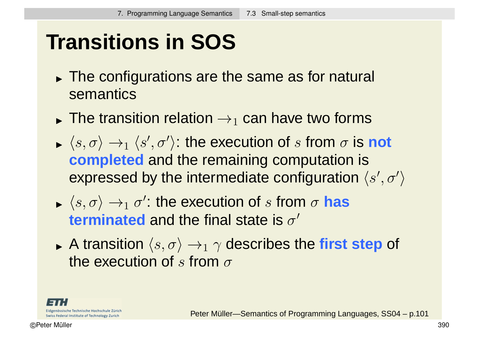# **Transitions in SOS**

- The configurations are the same as for natural semantics
- $\blacktriangleright$  THE HALL The transition relation  $\rightarrow_1$  can have two forms
- $\blacktriangleright$   $\langle S, U \rangle \rightarrow$  $\langle s, \sigma \rangle \rightarrow_1 \langle s', \sigma' \rangle$ : the execution of s from  $\sigma$  is **not completed** and the remaining computation is expressed by the intermediate configuration  $\langle s', \sigma' \rangle$  $\left\langle \right\rangle$
- $\blacktriangleright$   $\langle S, U \rangle \rightarrow$  $\langle s, \sigma \rangle \rightarrow_1 \sigma'$ : the execution of s from  $\sigma$  has **terminated** and the final state is  $\sigma'$
- $\blacktriangleright$  A lialisit A transition  $\langle s, \sigma \rangle \rightarrow_1 \gamma$  describes the first step of the execution of s from  $\sigma$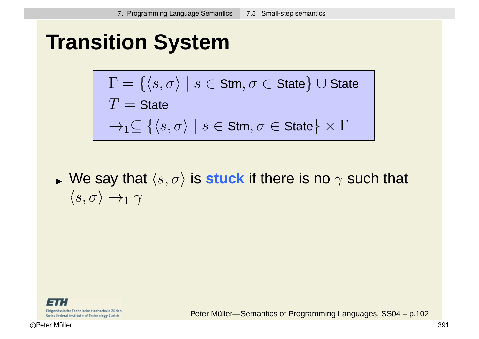### **Transition System**

$$
\Gamma = \{ \langle s, \sigma \rangle \mid s \in \text{Stm}, \sigma \in \text{State} \} \cup \text{State}
$$
\n
$$
T = \text{State}
$$
\n
$$
\rightarrow_1 \subseteq \{ \langle s, \sigma \rangle \mid s \in \text{Stm}, \sigma \in \text{State} \} \times \Gamma
$$

 $\blacktriangleright$   $\vee$   $\vee$   $\vdash$   $\triangleleft$   $\vee$ We say that  $\langle s, \sigma \rangle$  is **stuck** if there is no  $\gamma$  such that  $\langle s, \sigma \rangle \rightarrow_1 \gamma$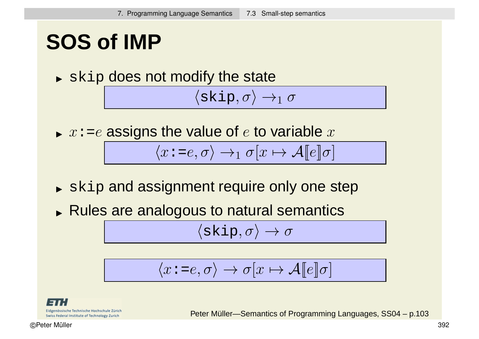### **SOS of IMP**

 $\blacktriangleright$  skip does not modify the state

 $\langle$ skip,  $\sigma \rangle \rightarrow_1 \sigma$ 

 $\blacktriangleright$   $x$ :=e assigns the value of  $e$  to variable  $x$ 

$$
\langle x \mathbin{\colon} = e, \sigma \rangle \to_1 \sigma[x \mapsto \mathcal{A}[[e]]\sigma]
$$

- $\blacktriangleright$   $\operatorname{skip}$  and assignment require only one step
- Rules are analogous to natural semantics

 $\langle$ skip,  $\sigma \rangle \rightarrow \sigma$ 

$$
\langle x \mathbin{\colon} = e, \sigma \rangle \to \sigma[x \mapsto \mathcal{A}[[e]]\sigma]
$$

Eidgenössische Technische Hochschule Zürich Swiss Federal Institute of Technology Zurich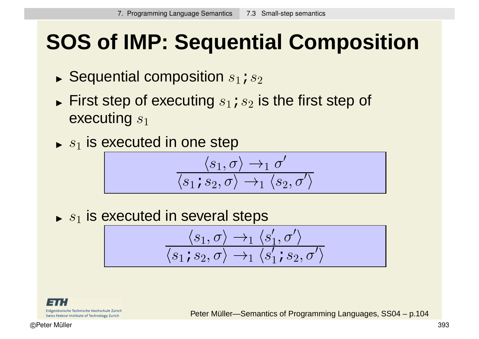# **SOS of IMP: Sequential Composition**

- $\blacktriangleright$  Sequential composition  $s_1$  ;  $s_2$
- $\blacktriangleright$  First step of executing  $s_1$  ;  $s_2$  is the first step of executing  $s_1$
- $\blacktriangleright$   $s_1$  is executed in one step

$$
\frac{\langle s_1, \sigma\rangle\rightarrow_1\sigma'}{\langle s_1\text{; }s_2,\sigma\rangle\rightarrow_1\langle s_2,\sigma'\rangle}
$$

 $s_1$  is executed in several steps

$$
\frac{\langle s_1, \sigma\rangle\rightarrow_1\langle s_1', \sigma'\rangle}{\langle s_1\text{ is }_2,\sigma\rangle\rightarrow_1\langle s_1'\text{ is }_2,\sigma'\rangle}
$$

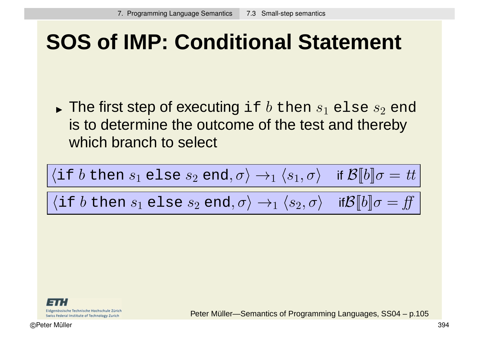### **SOS of IMP: Conditional Statement**

 $\blacktriangleright$  The first step of executing <code>if</code>  $b$  then  $s_1$  <code>else</code>  $s_2$  <code>end</code> is to determine the outcome of the test and thereby which branch to select

$$
\frac{\langle \text{if } b \text{ then } s_1 \text{ else } s_2 \text{ end}, \sigma \rangle \rightarrow_1 \langle s_1, \sigma \rangle \quad \text{if } \mathcal{B}[b] \sigma = tt}{\langle \text{if } b \text{ then } s_1 \text{ else } s_2 \text{ end}, \sigma \rangle \rightarrow_1 \langle s_2, \sigma \rangle \quad \text{if } \mathcal{B}[b] \sigma = ff}
$$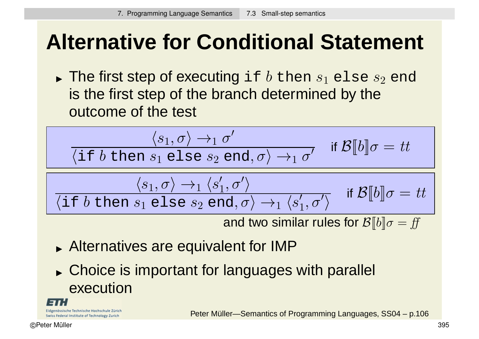# **Alternative for Conditional Statement**

 $\blacktriangleright$  The first step of executing <code>if</code>  $b$  then  $s_1$  <code>else</code>  $s_2$  <code>end</code> is the first step of the branch determined by the outcome of the test

$$
\frac{\langle s_1, \sigma \rangle \to_1 \sigma'}{\langle \text{if } b \text{ then } s_1 \text{ else } s_2 \text{ end}, \sigma \rangle \to_1 \sigma'} \quad \text{if } \mathcal{B}[b] \sigma = tt
$$
\n
$$
\frac{\langle s_1, \sigma \rangle \to_1 \langle s_1', \sigma' \rangle}{\langle \text{if } b \text{ then } s_1 \text{ else } s_2 \text{ end}, \sigma \rangle \to_1 \langle s_1', \sigma' \rangle} \quad \text{if } \mathcal{B}[b] \sigma = tt
$$

and two similar rules for  $\mathcal{B}[[b]]\sigma = ff$ 

- Alternatives are equivalent for IMP
- **Choice is important for languages with parallel** execution

Eidgenössische Technische Hochschule Zürich Swiss Federal Institute of Technology Zurich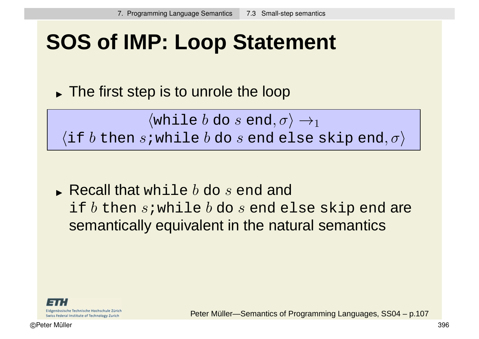### **SOS of IMP: Loop Statement**

The first step is to unrole the loop

 $\langle$ while  $b$  do  $s$  end,  $\sigma$  $\rangle \rightarrow_1$  $\langle$ if  $b$  then s;while  $b$  do s end else skip end,  $\sigma$ )

 $\blacktriangleright$  Recall that while  $b$  do  $s$  end and if  $b$  then  $s$ ; while  $b$  do  $s$  end else skip end are semantically equivalent in the natural semantics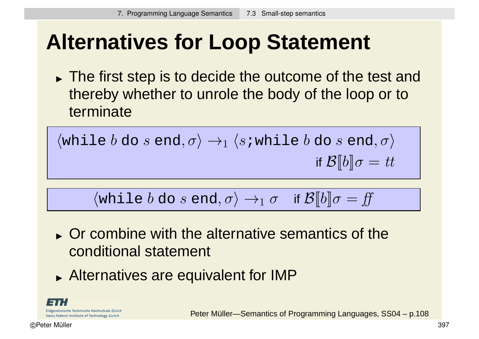# **Alternatives for Loop Statement**

The first step is to decide the outcome of the test and thereby whether to unrole the body of the loop or to terminate

$$
\langle \text{while } b \text{ do } s \text{ end}, \sigma \rangle \rightarrow_1 \langle s \text{ while } b \text{ do } s \text{ end}, \sigma \rangle
$$
  
if  $\mathcal{B}[b] \sigma = tt$ 

 $\langle \text{while } b \text{ do } s \text{ end}, \sigma \rangle \rightarrow_1 \sigma \quad \text{if } \mathcal{B}[[b]]\sigma = ff$ 

- **Or combine with the alternative semantics of the** conditional statement
- Alternatives are equivalent for IMP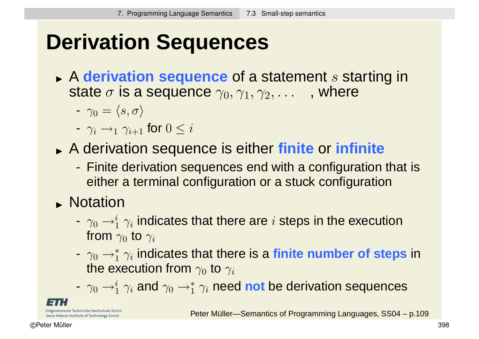# **Derivation Sequences**

- **A derivation sequence** of a statement s starting in state  $\sigma$  is a sequence  $\gamma_0, \gamma_1, \gamma_2, \ldots$ , where
	- $-\gamma_0 = \langle s, \sigma \rangle$
	- $\gamma_i \rightarrow_1 \gamma_{i+1}$  for  $0 \leq i$
- A derivation sequence is either **finite** or **infinite**
	- Finite derivation sequences end with a configuration that is either a terminal configuration or a stuck configuration
- Notation
	- $\gamma_0 \rightarrow^i_1 \gamma_i$  indicates that there are  $i$  steps in the execution from  $\gamma_0$  to  $\gamma_i$
	- $\gamma_0$  → $^*_1$   $\gamma_i$  indicates that there is a **finite number of steps** in the execution from  $\gamma_0$  to  $\gamma_i$
	- $\gamma_0 \rightarrow_1^i \gamma_i$  and  $\gamma_0 \rightarrow_1^* \gamma_i$  need **not** be derivation sequences

össische Technische Hochschule Zürich Swiss Federal Institute of Technology Zurich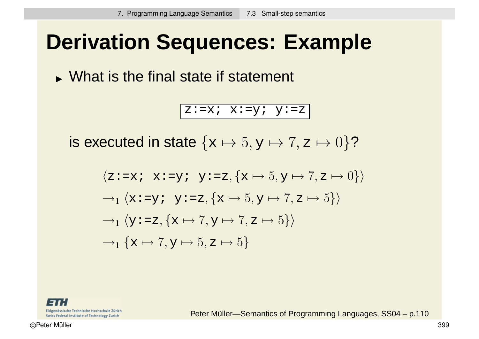### **Derivation Sequences: Example**

What is the final state if statement

z:=x;  $x:=y$ ;  $y:=z$ 

is executed in state  $\{x \mapsto 5, y \mapsto 7, z \mapsto 0\}$ ?

$$
\langle z := x \colon x := y \colon y := z, \{x \mapsto 5, y \mapsto 7, z \mapsto 0\} \rangle
$$
  
\n
$$
\rightarrow_1 \langle x := y \colon y := z, \{x \mapsto 5, y \mapsto 7, z \mapsto 5\} \rangle
$$
  
\n
$$
\rightarrow_1 \langle y := z, \{x \mapsto 7, y \mapsto 7, z \mapsto 5\} \rangle
$$
  
\n
$$
\rightarrow_1 \{x \mapsto 7, y \mapsto 5, z \mapsto 5\}
$$

Eidgenössische Technische Hochschule Zürich Swiss Federal Institute of Technology Zurich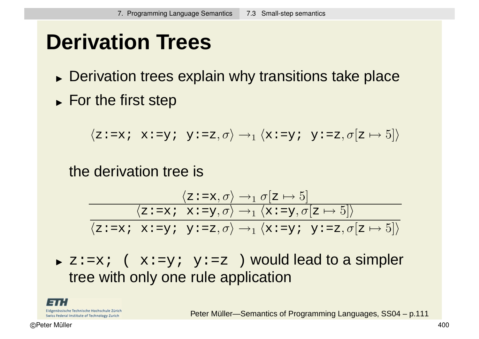# **Derivation Trees**

- **Derivation trees explain why transitions take place**
- For the first step

$$
\langle z\mathbin{\raisebox{.3pt}{:}\!=} x\mathbin{\raisebox{.3pt}{:}\!=} x\mathbin{\raisebox{.3pt}{:}\!=} y\mathbin{\raisebox{.3pt}{:}\!=} z, \sigma \rangle \rightarrow_1 \langle x\mathbin{\raisebox{.3pt}{:}\!=} y\mathbin{\raisebox{.3pt}{:}\!=} z, \sigma[z \mapsto 5] \rangle
$$

the derivation tree is

$$
\frac{\langle z:=x,\sigma\rangle \to_1 \sigma[z \mapsto 5]}{\langle z:=x; x:=y, \sigma\rangle \to_1 \langle x:=y, \sigma[z \mapsto 5]\rangle}
$$

$$
\frac{\langle z:=x; x:=y; y:=z, \sigma\rangle \to_1 \langle x:=y; y:=z, \sigma[z \mapsto 5]\rangle}{\langle z:=x; x:=y; y:=z, \sigma\rangle \to_1 \langle x:=y; y:=z, \sigma[z \mapsto 5]\rangle}
$$

 $\triangleright$  z:=x; (  $x:=y$ ;  $y:=z$  ) would lead to a simpler tree with only one rule application

Eidgenössische Technische Hochschule Zürich Swiss Federal Institute of Technology Zurich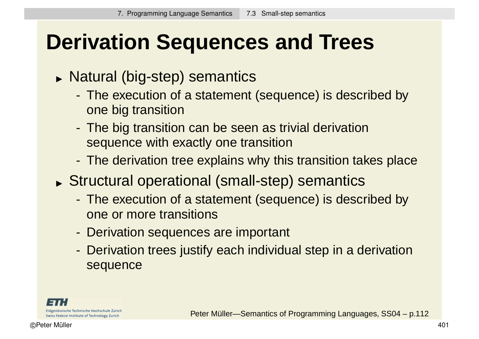# **Derivation Sequences and Trees**

- Natural (big-step) semantics
	- The execution of a statement (sequence) is described by one big transition
	- The big transition can be seen as trivial derivation sequence with exactly one transition
	- The derivation tree explains why this transition takes place
- Structural operational (small-step) semantics
	- The execution of a statement (sequence) is described by one or more transitions
	- Derivation sequences are important
	- Derivation trees justify each individual step in a derivation sequence

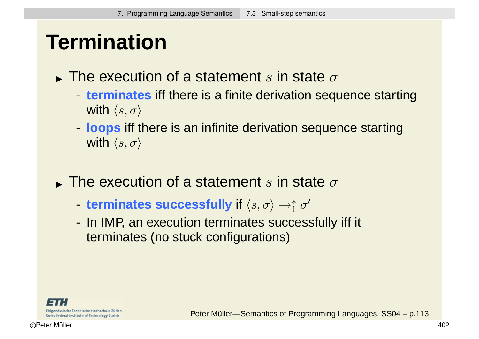### **Termination**

- $\blacktriangleright$  The execution of a statement  $s$  in state  $\sigma$ 
	- **terminates** iff there is a finite derivation sequence starting with  $\langle s, \sigma \rangle$
	- **loops** iff there is an infinite derivation sequence starting with  $\langle s, \sigma \rangle$
- $\blacktriangleright$  The execution of a statement  $s$  in state  $\sigma$ 
	- terminates successfully if  $\langle s, \sigma \rangle \rightarrow_1^* \sigma'$
	- In IMP, an execution terminates successfully iff it terminates (no stuck configurations)

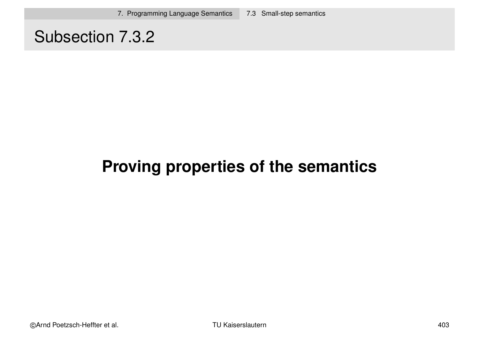#### Subsection 7.3.2

#### **Proving properties of the semantics**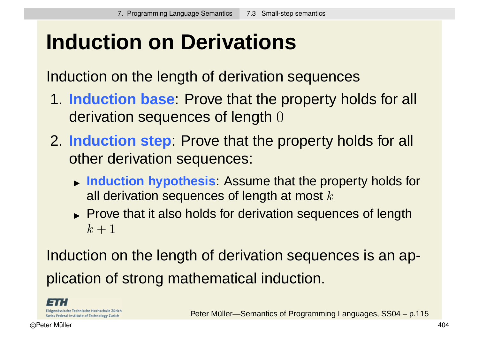# **Induction on Derivations**

Induction on the length of derivation sequences

- 1. **Induction base**: Prove that the property holds for all derivation sequences of length 0
- 2. **Induction step**: Prove that the property holds for all other derivation sequences:
	- **Induction hypothesis**: Assume that the property holds for all derivation sequences of length at most  $k$
	- Prove that it also holds for derivation sequences of length  $k+1$

Induction on the length of derivation sequences is an application of strong mathematical induction.

Eidgenössische Technische Hochschule Zürich Swiss Federal Institute of Technology Zurich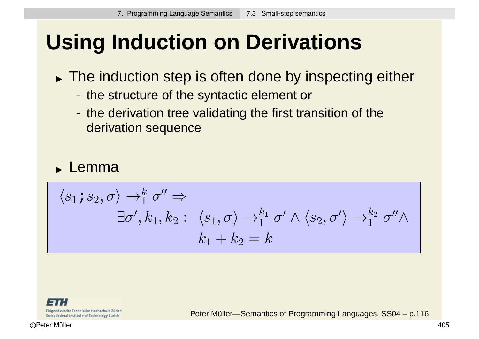# **Using Induction on Derivations**

- The induction step is often done by inspecting either
	- the structure of the syntactic element or
	- the derivation tree validating the first transition of the derivation sequence

#### **Lemma**

$$
\langle s_1 \, \mathbf{i} \, s_2, \sigma \rangle \rightarrow_1^k \sigma'' \Rightarrow
$$
  
\n
$$
\exists \sigma', k_1, k_2 : \langle s_1, \sigma \rangle \rightarrow_1^{k_1} \sigma' \land \langle s_2, \sigma' \rangle \rightarrow_1^{k_2} \sigma'' \land
$$
  
\n
$$
k_1 + k_2 = k
$$

Eidgenössische Technische Hochschule Zürich Swiss Federal Institute of Technology Zurich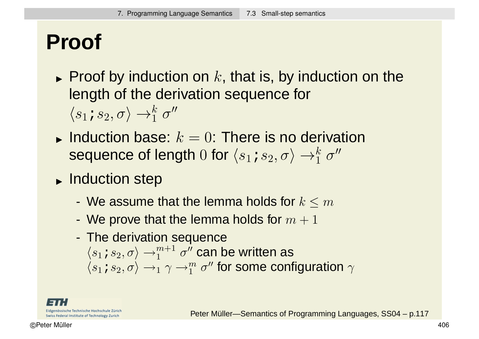# **Proof**

- $\blacktriangleright$  Proof by induction on  $k,$  that is, by induction on the length of the derivation sequence for  $\langle s_1\, s_2, \sigma\rangle \rightarrow_1^k \sigma''$
- Induction base:  $k = 0$ : There is no derivation sequence of length  $0$  for  $\langle s_1\!\!:\,s_2,\sigma\rangle\rightarrow_1^k\sigma''$
- **Induction step** 
	- We assume that the lemma holds for  $k \le m$
	- We prove that the lemma holds for  $m + 1$
	- The derivation sequence  $\langle s_1\!\!:\,s_2,\sigma\rangle\rightarrow_1^{m+1}\sigma''$  can be written as  $\langle s_1\mathop{:} s_2,\sigma\rangle\rightarrow_1 \gamma\rightarrow^m_1\sigma''$  for some configuration  $\gamma$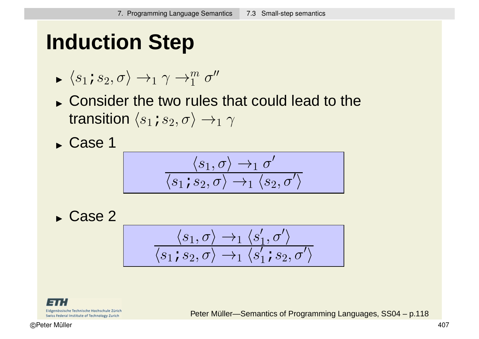# **Induction Step**

$$
\blacktriangleright \langle s_1 \, \mathbf{i} \, s_2, \sigma \rangle \rightarrow_1 \gamma \rightarrow_1^m \sigma''
$$

Consider the two rules that could lead to the transition  $\langle s_1; s_2, \sigma \rangle \rightarrow_1 \gamma$ 

Case 1

$$
\frac{\langle s_1,\sigma\rangle\rightarrow_1\sigma'}{\langle s_1\textit{;} s_2,\sigma\rangle\rightarrow_1\langle s_2,\sigma'\rangle}
$$

Case 2

$$
\dfrac{\langle s_1, \sigma\rangle \rightarrow_1 \langle s_1', \sigma'\rangle}{\langle s_1\text{ is }_2, \sigma\rangle \rightarrow_1 \langle s_1'\text{ is }_2, \sigma'\rangle}
$$

Eidgenössische Technische Hochschule Zürich Swiss Federal Institute of Technology Zurich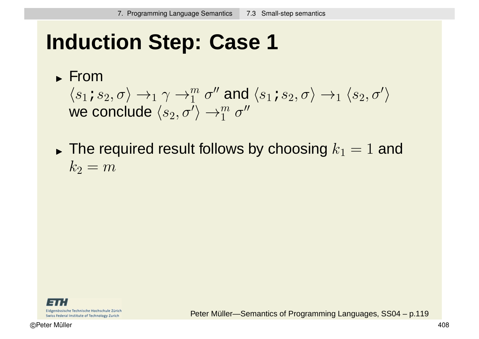# **Induction Step: Case 1**

#### From

 $\langle s_1\, s_2, \sigma\rangle \rightarrow_1 \gamma \rightarrow_1^m \sigma''$  and  $\langle s_1\, s_2, \sigma\rangle \rightarrow_1 \langle s_2, \sigma'\rangle$ we conclude  $\langle s_2, \sigma'\rangle \rightarrow_1^m \sigma''$ 

 $\blacktriangleright$  The required result follows by choosing  $k_1 = 1$  and  $k_2 = m$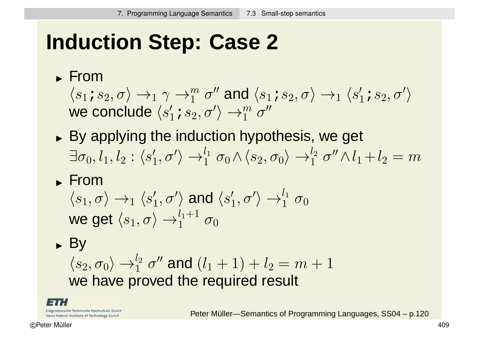# **Induction Step: Case 2**

#### From

 $\langle s_1\, s_2, \sigma\rangle \rightarrow_1 \gamma \rightarrow_1^m \sigma''$  and  $\langle s_1\, s_2, \sigma\rangle \rightarrow_1 \langle s_1'\, s_2, \sigma'\rangle$ we conclude  $\langle s_1^\prime\! s_2, \sigma^\prime \rangle \rightarrow_1^m \sigma^{\prime\prime}$ 

By applying the induction hypothesis, we get  $\exists \sigma_0, l_1, l_2:\langle s_1', \sigma'\rangle \rightarrow_1^{l_1} \sigma_0 \wedge \langle s_2, \sigma_0\rangle \rightarrow_1^{l_2} \sigma'' \wedge l_1 + l_2 = m$ 

#### **From**

$$
\langle s_1, \sigma \rangle \to_1 \langle s_1', \sigma' \rangle \text{ and } \langle s_1', \sigma' \rangle \to_1^{l_1} \sigma_0
$$
  
we get 
$$
\langle s_1, \sigma \rangle \to_1^{l_1+1} \sigma_0
$$

► By  
\n
$$
\langle s_2, \sigma_0 \rangle \rightarrow_1^{l_2} \sigma''
$$
 and  $(l_1 + 1) + l_2 = m + 1$   
\nwe have proved the required result

Eidgenössische Technische Hochschule Zürich Swiss Federal Institute of Technology Zurich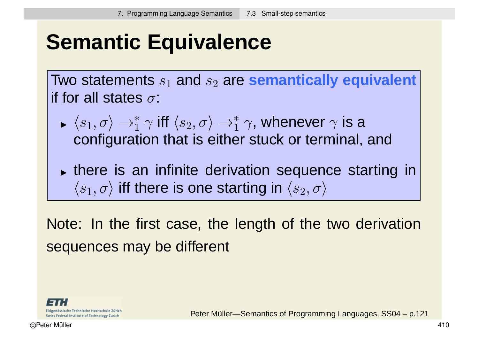# **Semantic Equivalence**

Two statements  $s_1$  and  $s_2$  are **semantically equivalent** if for all states  $\sigma$ :

- $\blacktriangleright$  (51,  $U$ )  $\equiv$  $\langle s_1, \sigma \rangle \rightarrow_1^* \gamma$  iff  $\langle s_2, \sigma \rangle \rightarrow_1^* \gamma$ , whenever  $\gamma$  is a configuration that is either stuck or terminal, and
- **there is an infinite derivation sequence starting in**  $\langle s_1, \sigma \rangle$  iff there is one starting in  $\langle s_2, \sigma \rangle$

Note: In the first case, the length of the two derivation sequences may be different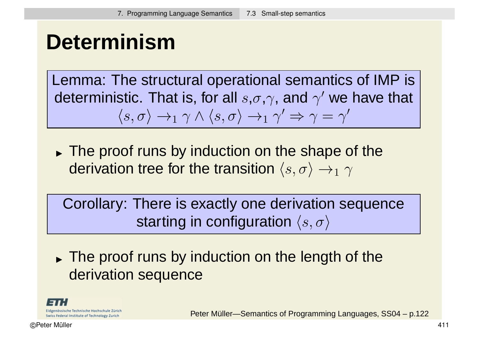### **Determinism**

Lemma: The structural operational semantics of IMP is deterministic. That is, for all  $s, \sigma, \gamma$ , and  $\gamma'$  we have that  $\langle s, \sigma \rangle \rightarrow_1 \gamma \wedge \langle s, \sigma \rangle \rightarrow_1 \gamma' \Rightarrow \gamma = \gamma'$ 

The proof runs by induction on the shape of the derivation tree for the transition  $\langle s, \sigma \rangle \rightarrow_1 \gamma$ 

Corollary: There is exactly one derivation sequence starting in configuration  $\langle s, \sigma \rangle$ 

The proof runs by induction on the length of the derivation sequence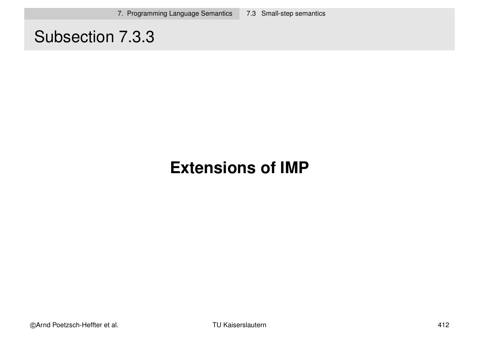#### Subsection 7.3.3

#### **Extensions of IMP**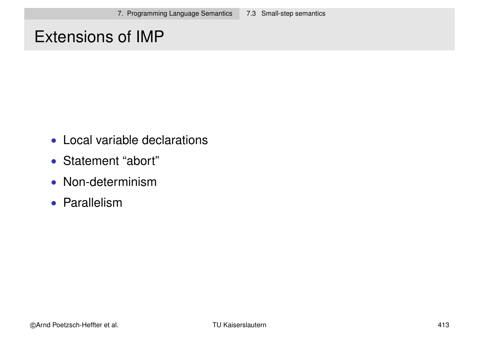#### Extensions of IMP

- Local variable declarations
- Statement "abort"
- Non-determinism
- Parallelism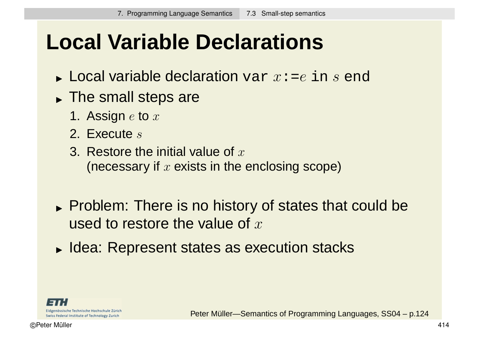## **Local Variable Declarations**

- $\blacktriangleright$  Local variable declaration  $\texttt{var}~x\texttt{:=}e~\texttt{in}~s~\texttt{end}$
- The small steps are
	- 1. Assign  $e$  to  $x$
	- 2. Execute s
	- 3. Restore the initial value of  $r$ (necessary if  $x$  exists in the enclosing scope)
- Problem: There is no history of states that could be used to restore the value of  $x$
- Idea: Represent states as execution stacks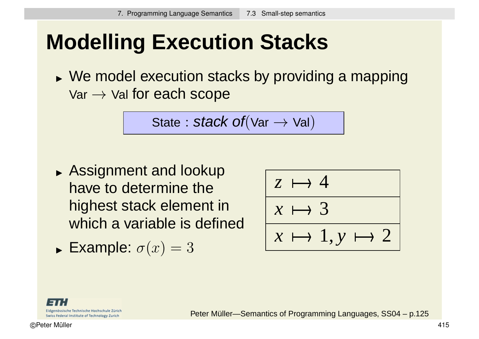# **Modelling Execution Stacks**

 We model execution stacks by providing a mapping  $Var \rightarrow$  Val for each scope

$$
\text{State}: \text{stack of}(\text{Var} \rightarrow \text{Val})
$$

**Assignment and lookup** have to determine the highest stack element in which a variable is defined

► Example: 
$$
\sigma(x) = 3
$$

$$
\begin{array}{|c|c|}\n\hline z & \mapsto & 4 \\
\hline\nx & \mapsto & 3 \\
\hline\nx & \mapsto & 1, y \mapsto & 2\n\end{array}
$$

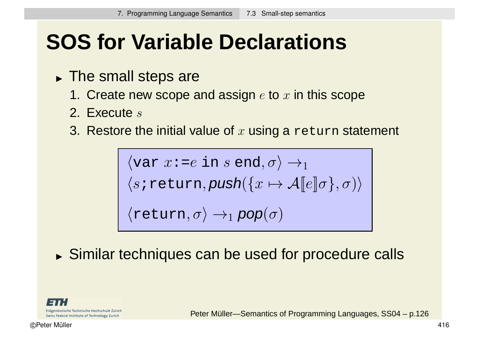# **SOS for Variable Declarations**

- The small steps are
	- 1. Create new scope and assign  $e$  to  $x$  in this scope
	- 2. Execute s
	- 3. Restore the initial value of x using a return statement

 $\langle \text{var } x \cdot = e \text{ in } s \text{ end}, \sigma \rangle \rightarrow_1$  $\langle s \text{:return}, \text{push}(\{x \mapsto A[\![e]\!]\sigma\}, \sigma) \rangle$  $\langle \texttt{return}, \sigma \rangle \rightarrow_1 \textit{pop}(\sigma)$ 

Similar techniques can be used for procedure calls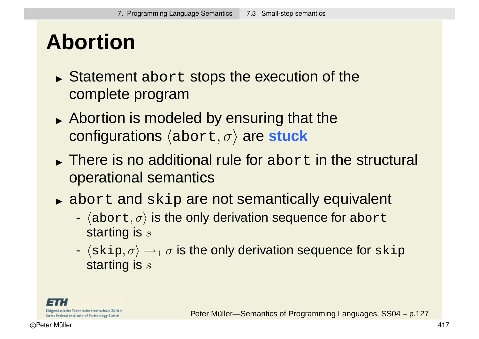### **Abortion**

- $\blacktriangleright$  Statement abort stops the execution of the complete program
- **Abortion is modeled by ensuring that the configurations** (abort, σ) are **stuck**
- $\blacktriangleright$  There is no additional rule for abort in the structural operational semantics
- abort and skip are not semantically equivalent
	- $\langle$ abort,  $\sigma$ ) is the only derivation sequence for abort starting is s
	- $\langle$ skip,  $\sigma \rangle \rightarrow_1 \sigma$  is the only derivation sequence for skip starting is s

Eidgenössische Technische Hochschule Zürich Swiss Federal Institute of Technology Zurich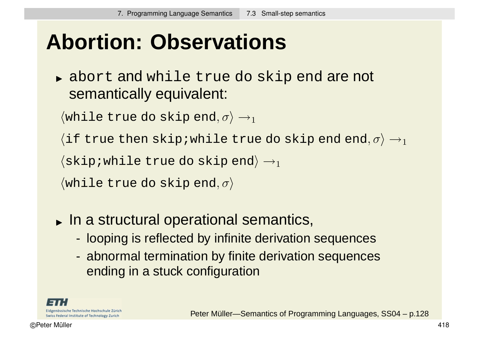## **Abortion: Observations**

abort and while true do skip end are not semantically equivalent:

 $\langle$  while true do skip end,  $\sigma \rangle \rightarrow_1$ 

(if true then skip;while true do skip end end,  $\sigma$ )  $\rightarrow$ 1

 $\langle$ skip;while true do skip end $\rangle \rightarrow_1$ 

 $\langle$ while true do skip end,  $\sigma$  $\rangle$ 

- In a structural operational semantics,
	- looping is reflected by infinite derivation sequences
	- abnormal termination by finite derivation sequences ending in a stuck configuration

Eidgenössische Technische Hochschule Zürich Swiss Federal Institute of Technology Zurich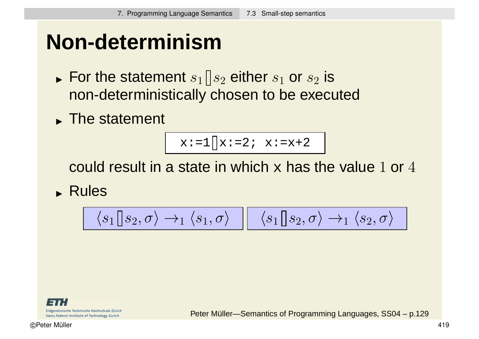## **Non-determinism**

- $\blacktriangleright$  For the statement  $s_1 \mathbin{\rbrack} s_2$  either  $s_1$  or  $s_2$  is non-deterministically chosen to be executed
- **The statement**

$$
x := 1 \bigcup x := 2; \quad x := x + 2
$$

could result in a state in which  $x$  has the value 1 or 4

Rules

$$
\langle s_1 \hspace{-0.04cm} \big| \hspace{0.04cm} s_2, \sigma \rangle \rightarrow_1 \langle s_1, \sigma \rangle \hspace{0.2cm} \bigg| \hspace{0.2cm} \langle s_1 \hspace{-0.04cm} \big| \hspace{0.04cm} s_2, \sigma \rangle \rightarrow_1 \langle s_2, \sigma \rangle \hspace{0.2cm} \bigg|
$$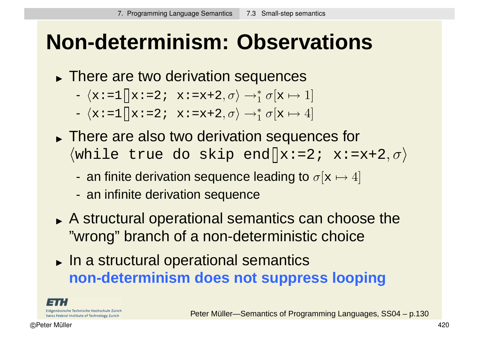### **Non-determinism: Observations**

- There are two derivation sequences
	- $\langle \mathbf{x} \mathbin{\coloneqq} 1 | \mathbf{x} \mathbin{\coloneqq} 2 \mathbf{i} \mathbf{x} \mathbin{\coloneqq} \mathbf{x} \mathbin{\coloneqq} 2 \mathbf{y} \mathbf{x} \mathbin{\coloneqq} 2 \mathbf{y}$
	- $\langle \mathbf{x} \mathbin{\coloneqq} 1 | \mathbf{x} \mathbin{\coloneqq} 2 \mathbf{i} \mathbf{x} \mathbin{\coloneqq} \mathbf{x} \mathbin{\coloneqq} 2 \mathbf{y} \mathbf{x} \mathbin{\coloneqq} 4 \mathbf{y} \rightarrow \mathbf{y} \mathbf{z} \rightarrow \mathbf{z}$
- There are also two derivation sequences for  $\langle$ while true do skip end  $x:=2; x:=x+2, \sigma$ 
	- an finite derivation sequence leading to  $\sigma[x \mapsto 4]$
	- an infinite derivation sequence
- A structural operational semantics can choose the "wrong" branch of a non-deterministic choice
- In a structural operational semantics **non-determinism does not suppress looping**

Eidgenössische Technische Hochschule Zürich Swiss Federal Institute of Technology Zurich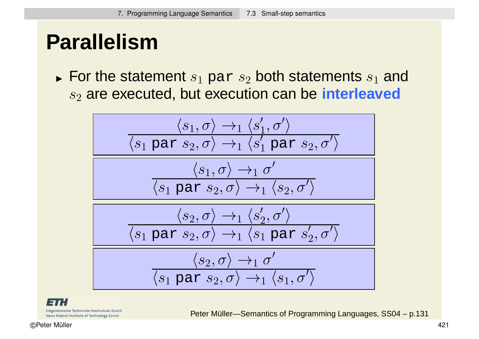# **Parallelism**

 $\blacktriangleright$  For the statement  $s_1$   $\mathtt{par}\ s_2$  both statements  $s_1$  and s<sub>2</sub> are executed, but execution can be **interleaved** 

$$
\frac{\langle s_1, \sigma \rangle \rightarrow_1 \langle s_1', \sigma' \rangle}{\langle s_1 \text{ par } s_2, \sigma \rangle \rightarrow_1 \langle s_1' \text{ par } s_2, \sigma' \rangle}
$$
\n
$$
\frac{\langle s_1, \sigma \rangle \rightarrow_1 \sigma'}{\langle s_1 \text{ par } s_2, \sigma \rangle \rightarrow_1 \langle s_2, \sigma' \rangle}
$$
\n
$$
\frac{\langle s_2, \sigma \rangle \rightarrow_1 \langle s_2', \sigma' \rangle}{\langle s_1 \text{ par } s_2, \sigma \rangle \rightarrow_1 \langle s_1 \text{ par } s_2', \sigma' \rangle}
$$
\n
$$
\frac{\langle s_2, \sigma \rangle \rightarrow_1 \sigma'}{\langle s_1 \text{ par } s_2, \sigma \rangle \rightarrow_1 \sigma'}
$$

Eidgenössische Technische Hochschule Zürich Swiss Federal Institute of Technology Zurich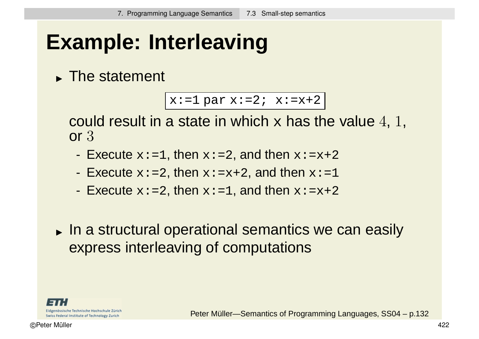# **Example: Interleaving**

**The statement** 

 $x:=1$  par  $x:=2$ ;  $x:=x+2$ 

could result in a state in which x has the value 4, 1, or 3

- Execute  $x: =1$ , then  $x: =2$ , and then  $x: =x+2$
- Execute  $x:=2$ , then  $x:=x+2$ , and then  $x:=1$
- Execute  $x:=2$ , then  $x:=1$ , and then  $x:=x+2$
- In a structural operational semantics we can easily express interleaving of computations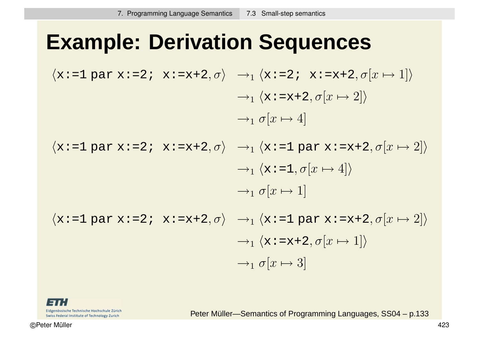### **Example: Derivation Sequences**

$$
\langle x:=1 \text{ par } x:=2; \ x:=x+2, \sigma \rangle \rightarrow_1 \langle x:=2; \ x:=x+2, \sigma[x \mapsto 1] \rangle
$$
  
\n
$$
\rightarrow_1 \langle x:=x+2, \sigma[x \mapsto 2] \rangle
$$
  
\n
$$
\rightarrow_1 \sigma[x \mapsto 4]
$$

$$
\langle x:=1 \text{ par } x:=2; \ x:=x+2, \sigma \rangle \rightarrow_1 \langle x:=1 \text{ par } x:=x+2, \sigma[x \mapsto 2] \rangle
$$

$$
\rightarrow_1 \langle x:=1, \sigma[x \mapsto 4] \rangle
$$

$$
\rightarrow_1 \sigma[x \mapsto 1]
$$

$$
\langle x:=1 \text{ par } x:=2; \ x:=x+2, \sigma \rangle \rightarrow_1 \langle x:=1 \text{ par } x:=x+2, \sigma[x \mapsto 2] \rangle
$$

$$
\rightarrow_1 \langle x:=x+2, \sigma[x \mapsto 1] \rangle
$$

$$
\rightarrow_1 \sigma[x \mapsto 3]
$$

Eidgenössische Technische Hochschule Zürich Swiss Federal Institute of Technology Zurich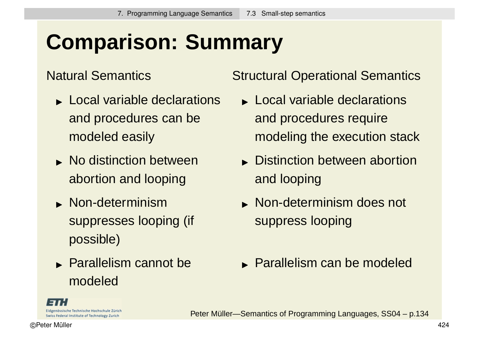# **Comparison: Summary**

#### Natural Semantics

- **Local variable declarations** and procedures can be modeled easily
- **No distinction between** abortion and looping
- Non-determinism suppresses looping (if possible)
- **Parallelism cannot be** modeled

Structural Operational Semantics

- **Local variable declarations** and procedures require modeling the execution stack
- **Distinction between abortion** and looping
- **Non-determinism does not** suppress looping
- **Parallelism can be modeled**

Eidgenössische Technische Hochschule Zürich Swiss Federal Institute of Technology Zurich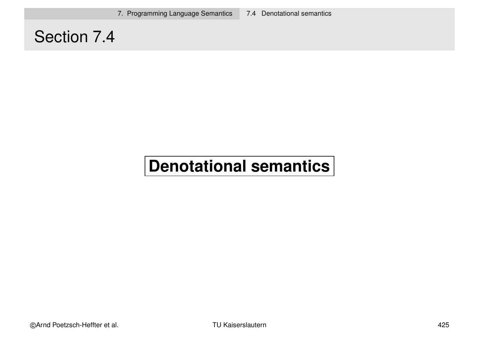7. Programming Language Semantics 7.4 Denotational semantics

#### Section 7.4

#### **Denotational semantics**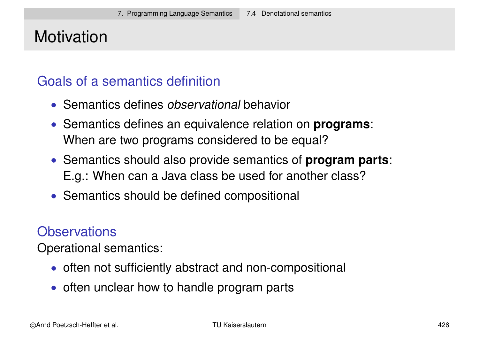#### **Motivation**

#### Goals of a semantics definition

- Semantics defines *observational* behavior
- Semantics defines an equivalence relation on **programs**: When are two programs considered to be equal?
- Semantics should also provide semantics of **program parts**: E.g.: When can a Java class be used for another class?
- Semantics should be defined compositional

#### **Observations**

Operational semantics:

- often not sufficiently abstract and non-compositional
- often unclear how to handle program parts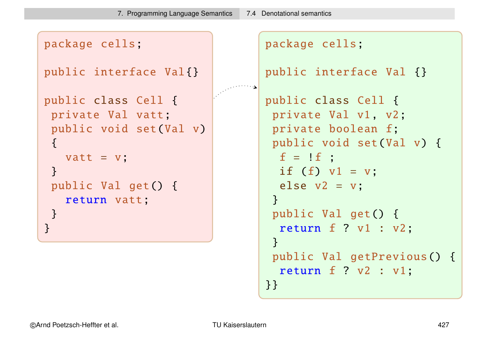```
package cells;
public interface Val{}
public class Cell {
 private Val vatt;
 public void set(Val v)
 \{vatt = v;
 }
 public Val get() {
   return vatt;
 }
}
                                 package cells;
                                 public interface Val {}
                                 public class Cell {
                                  private Val v1, v2;
                                  private boolean f;
                                  public void set(Val v) {
                                   f = \pm f;
                                   if (f) v1 = v;
                                   else v2 = v;
                                  }
                                  public Val get() {
                                   return f ? v1 : v2;
                                  }
                                  public Val getPrevious() {
                                   return f ? v2 : v1;
```
}}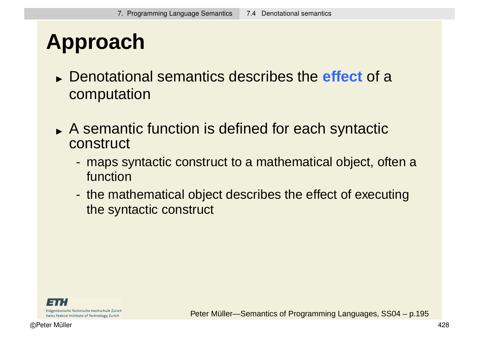## **Approach**

- Denotational semantics describes the **effect** of a computation
- A semantic function is defined for each syntactic construct
	- maps syntactic construct to a mathematical object, often a function
	- the mathematical object describes the effect of executing the syntactic construct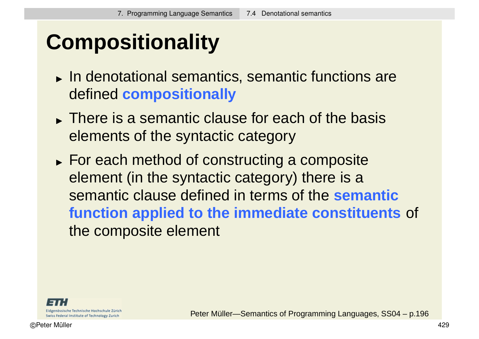# **Compositionality**

- In denotational semantics, semantic functions are defined **compositionally**
- There is a semantic clause for each of the basis elements of the syntactic category
- **For each method of constructing a composite** element (in the syntactic category) there is a semantic clause defined in terms of the **semantic function applied to the immediate constituents** of the composite element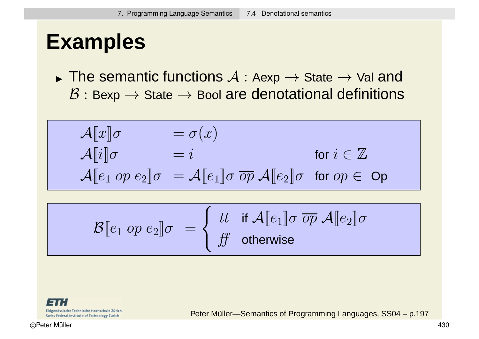### **Examples**

 $\blacktriangleright$   $\sqcup \sqcup \subset \sqcup \subset \sqcup$ The semantic functions  $\mathcal{A}:$  Aexp  $\rightarrow$  State  $\rightarrow$  Val and  $B:$  Bexp  $\rightarrow$  State  $\rightarrow$  Bool are denotational definitions

$$
\begin{array}{ll}\n\mathcal{A}[\![x]\!] \sigma & = \sigma(x) \\
\mathcal{A}[\![i]\!] \sigma & = i & \text{for } i \in \mathbb{Z} \\
\mathcal{A}[\![e_1 \text{ op } e_2]\!] \sigma & = \mathcal{A}[\![e_1]\!] \sigma \overline{\text{ op }} \mathcal{A}[\![e_2]\!] \sigma \text{ for } \text{op } \in \text{Op}\n\end{array}
$$

$$
\mathcal{B}[\![e_1 \text{ op } e_2]\!] \sigma \ = \left\{ \begin{array}{ll} \text{tt} & \text{if } \mathcal{A}[\![e_1]\!] \sigma \ \overline{\text{op}} \ \mathcal{A}[\![e_2]\!] \sigma \\ \text{ff} & \text{otherwise} \end{array} \right.
$$

Eidgenössische Technische Hochschule Zürich Swiss Federal Institute of Technology Zurich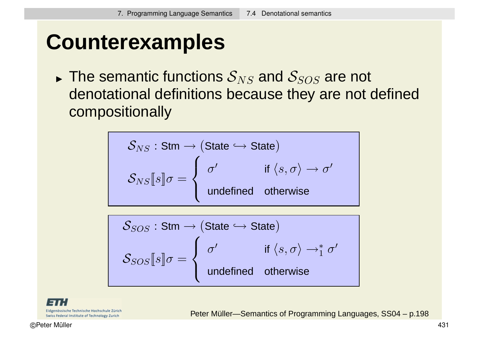## **Counterexamples**

 $\blacktriangleright$   $\sqcup \sqcup \subset \sqcup \subset \sqcup$ The semantic functions  $\mathcal{S}_{NS}$  and  $\mathcal{S}_{SOS}$  are not denotational definitions because they are not defined compositionally

$$
S_{NS}: \text{Stm} \to (\text{State} \hookrightarrow \text{State})
$$
\n
$$
S_{NS}\llbracket s \rrbracket \sigma = \begin{cases} \sigma' & \text{if } \langle s, \sigma \rangle \to \sigma' \\ \text{undefined} & \text{otherwise} \end{cases}
$$

$$
S_{SOS} : \mathsf{Stm} \to (\mathsf{State} \hookrightarrow \mathsf{State})
$$
\n
$$
\mathcal{S}_{SOS}\llbracket s \rrbracket \sigma = \begin{cases} \sigma' & \text{if } \langle s, \sigma \rangle \to^*_{1} \sigma' \\ \text{undefined} & \text{otherwise} \end{cases}
$$

Eidgenössische Technische Hochschule Zürich Swiss Federal Institute of Technology Zurich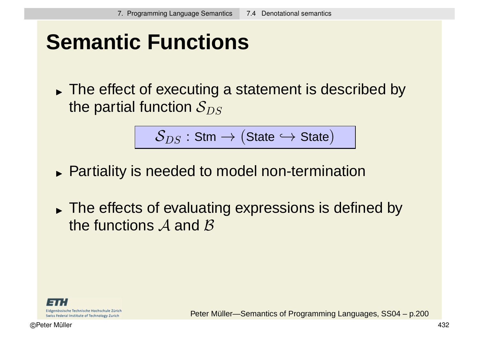## **Semantic Functions**

The effect of executing a statement is described by the partial function  $S_{DS}$ 

$$
\mathcal{S}_{DS} : \mathsf{Stm} \rightarrow (\mathsf{State} \hookrightarrow \mathsf{State})
$$

- **Partiality is needed to model non-termination**
- The effects of evaluating expressions is defined by the functions  $A$  and  $B$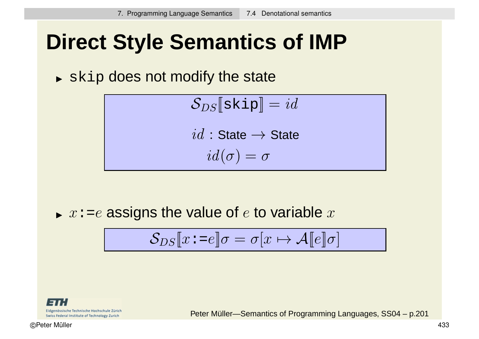## **Direct Style Semantics of IMP**

 $\blacktriangleright$  skip does not modify the state

$$
\mathcal{S}_{DS}[\texttt{skip}] = id
$$
  

$$
id : \texttt{State} \rightarrow \texttt{State}
$$
  

$$
id(\sigma) = \sigma
$$

 $\blacktriangleright$   $x$ :=e assigns the value of  $e$  to variable  $x$ 

$$
\mathcal{S}_{DS}[\![x:=\!e]\!] \sigma = \sigma[x \mapsto \mathcal{A}[\![e]\!] \sigma]
$$

Eidgenössische Technische Hochschule Zürich Swiss Federal Institute of Technology Zurich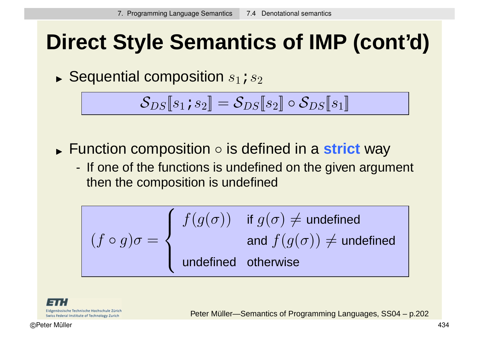# **Direct Style Semantics of IMP (cont'd)**

 $\blacktriangleright$  Sequential composition  $s_1$  ;  $s_2$ 

$$
\mathcal{S}_{DS}\llbracket s_1 \, s_2 \rrbracket = \mathcal{S}_{DS}\llbracket s_2 \rrbracket \circ \mathcal{S}_{DS}\llbracket s_1 \rrbracket
$$

- $\blacktriangleright$  1 and 10. Function composition ◦ is defined in a **strict** way
	- If one of the functions is undefined on the given argument then the composition is undefined

$$
(f \circ g)\sigma = \left\{ \begin{array}{ll} f(g(\sigma)) & \text{if } g(\sigma) \neq \text{undefined} \\ & \text{and } f(g(\sigma)) \neq \text{undefined} \\ \text{undefined} & \text{otherwise} \end{array} \right.
$$

Eidgenössische Technische Hochschule Zürich Swiss Federal Institute of Technology Zurich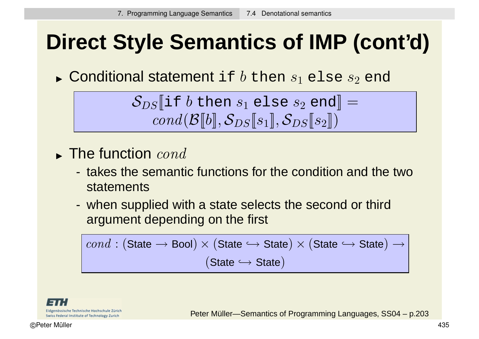# **Direct Style Semantics of IMP (cont'd)**

 $\blacktriangleright$  Conditional statement <code>if</code>  $b$  then  $s_1$  <code>else</code>  $s_2$  <code>end</code>

$$
\mathcal{S}_{DS}[\![\texttt{if } b \texttt{ then } s_1 \texttt{ else } s_2 \texttt{ end}]\!] = \\ \textit{cond}(\mathcal{B}[\![b]\!], \mathcal{S}_{DS}[\![s_1]\!], \mathcal{S}_{DS}[\![s_2]\!])
$$

- $\blacktriangleright$  The function  $\it cond$ 
	- takes the semantic functions for the condition and the two statements
	- when supplied with a state selects the second or third argument depending on the first

$$
\mathit{cond} : (\mathsf{State} \longrightarrow \mathsf{Bool}) \times (\mathsf{State} \hookrightarrow \mathsf{State}) \times (\mathsf{State} \hookrightarrow \mathsf{State}) \rightarrow \\ (\mathsf{State} \hookrightarrow \mathsf{State})
$$

Eidgenössische Technische Hochschule Zürich Swiss Federal Institute of Technology Zurich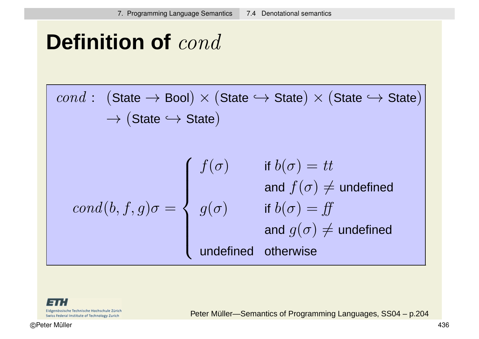### **Definition of** cond

$$
cond: (\text{State} \rightarrow \text{Bool}) \times (\text{State} \rightarrow \text{State}) \times (\text{State} \rightarrow \text{State})
$$
\n
$$
\rightarrow (\text{State} \rightarrow \text{State})
$$
\n
$$
cond(b, f, g)\sigma = \begin{cases}\nf(\sigma) & \text{if } b(\sigma) = tt \\
g(\sigma) & \text{if } b(\sigma) = ff \\
g(\sigma) & \text{if } b(\sigma) = ff \\
\text{and } g(\sigma) \neq \text{undefined} \\
\text{undefined} & \text{otherwise}\n\end{cases}
$$

13 Eidgenössische Technische Hochschule Zürich Swiss Federal Institute of Technology Zurich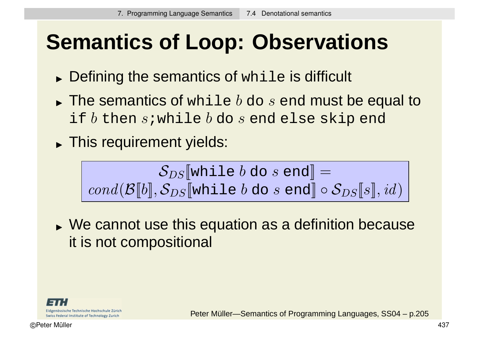# **Semantics of Loop: Observations**

- $\blacktriangleright$  Defining the semantics of while is difficult
- $\blacktriangleright$  The semantics of  $\text{while } b \text{ do } s \text{ end must be equal to }$ if  $b$  then  $s$ ; while  $b$  do  $s$  end else skip end
- This requirement yields:

SDS[[while b do s end]] = cond(B[[b]], SDS[[while b do s end]] ◦ SDS[[s]], id)

We cannot use this equation as a definition because it is not compositional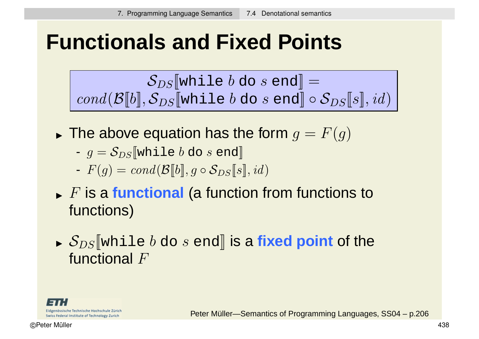## **Functionals and Fixed Points**

 $\mathcal{S}_{DS}$  while b do s end =  $cond(\mathcal{B}[b], \mathcal{S}_{DS}[\text{while } b \text{ do } s \text{ end}] \circ \mathcal{S}_{DS}[s], id)$ 

- $\blacktriangleright$  The above equation has the form  $g=F(g)$ 
	- $g = S_{DS}$  while b do s end
	- $-F(q) = cond(\mathcal{B}[[b]], q \circ \mathcal{S}_{DS}[[s]], id)$
- $\blacktriangleright$   $F$  is a **functional** (a function from functions to functions)
- $\triangleright$  ODS WILL  $\mathcal{S}_{DS}$  [while  $b$  do  $s$  end] i**s a fixed point** of the functional F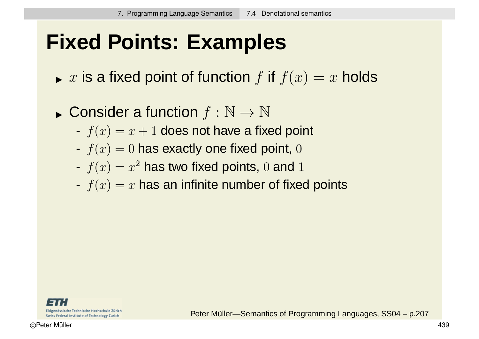## **Fixed Points: Examples**

- $\blacktriangleright$   $x$  is a fixed point of function  $f$  if  $f(x) = x$  holds
- $\blacktriangleright$  COLISIUS Consider a function  $f : \mathbb{N} \to \mathbb{N}$ 
	- $f(x) = x + 1$  does not have a fixed point
	- $f(x) = 0$  has exactly one fixed point, 0
	- $f(x) = x^2$  has two fixed points, 0 and 1
	- $f(x) = x$  has an infinite number of fixed points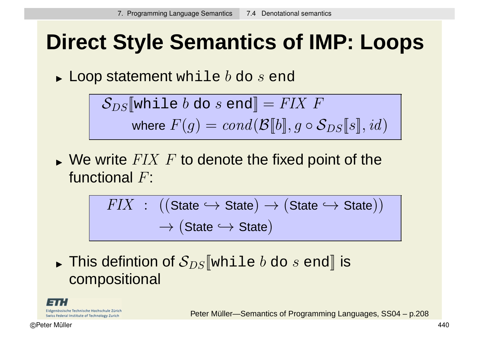# **Direct Style Semantics of IMP: Loops**

 $\blacktriangleright$  Loop statement while  $b$  do  $s$  end

$$
\mathcal{S}_{DS}[\![\text{while }b\text{ do }s\text{ end}]\!] = \textit{FIN}\ F
$$
\n
$$
\text{where}\ F(g) = \text{cond}(\mathcal{B}[\![b]\!], g\circ\mathcal{S}_{DS}[\![s]\!], id)
$$

 $\blacktriangleright$  We write  $FIX$   $F$  to denote the fixed point of the functional F:

$$
FIN : ((State \hookrightarrow State) \rightarrow (State \hookrightarrow State))
$$

$$
\rightarrow (State \hookrightarrow State)
$$

 $\blacktriangleright$  11113 UCI This defintion of  $\mathcal{S}_{DS}\llbracket$ while  $b$  do  $s$  end $\rrbracket$  is compositional

Eidgenössische Technische Hochschule Zürich Swiss Federal Institute of Technology Zurich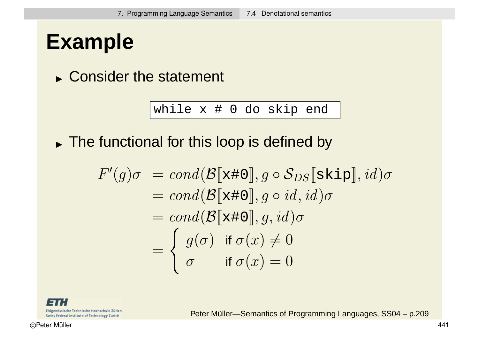## **Example**

Consider the statement

while x # 0 do skip end

The functional for this loop is defined by

$$
F'(g)\sigma = cond(\mathcal{B}[\mathbf{x} \# 0], g \circ \mathcal{S}_{DS}[\mathbf{skip}], id)\sigma
$$
  
= cond( $\mathcal{B}[\mathbf{x} \# 0], g \circ id, id)\sigma$   
= cond( $\mathcal{B}[\mathbf{x} \# 0], g, id)\sigma$   
= 
$$
\begin{cases} g(\sigma) & \text{if } \sigma(x) \neq 0 \\ \sigma & \text{if } \sigma(x) = 0 \end{cases}
$$

Eidgenössische Technische Hochschule Zürich Swiss Federal Institute of Technology Zurich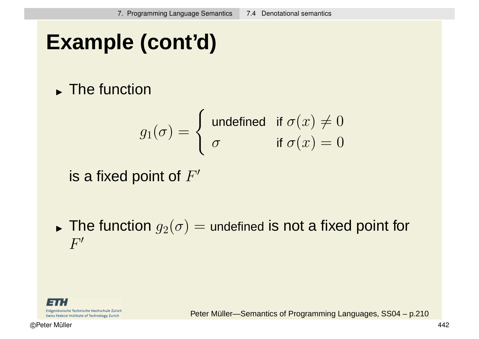# **Example (cont'd)**

**The function** 

$$
g_1(\sigma) = \begin{cases} \text{ undefined} & \text{if } \sigma(x) \neq 0 \\ \sigma & \text{if } \sigma(x) = 0 \end{cases}
$$

is a fixed point of  $F'$ 

 $\blacktriangleright$  The function  $g_2(\sigma)=$  undefined is not a fixed point for  $|F^{\prime}|$ 

Eidgenössische Technische Hochschule Zürich Swiss Federal Institute of Technology Zurich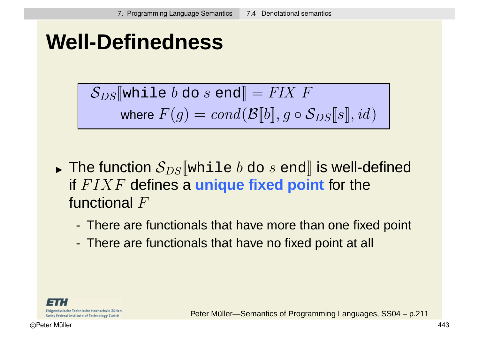## **Well-Definedness**

$$
\mathcal{S}_{DS}[\![\text{while }b\text{ do }s\text{ end}]\!] = FIX \ F
$$
\n
$$
\text{where } F(g) = cond(\mathcal{B}[\![b]\!], g \circ \mathcal{S}_{DS}[\![s]\!], id)
$$

- $\blacktriangleright$  THE RHIGHT The function  $\mathcal{S}_{DS}[\![\text{while }b\text{ do }s\text{ end}]\!]$  is well-defined if FIXF defines a **unique fixed point** for the functional F
	- There are functionals that have more than one fixed point
	- There are functionals that have no fixed point at all

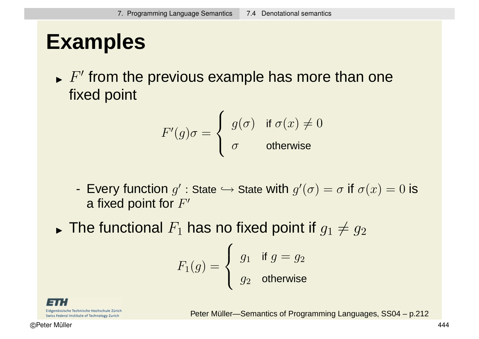## **Examples**

 $\blacktriangleright$   $F'$  from the previous example has more than one fixed point

$$
F'(g)\sigma = \begin{cases} g(\sigma) & \text{if } \sigma(x) \neq 0 \\ \sigma & \text{otherwise} \end{cases}
$$

- Every function  $g'$  : State  $\hookrightarrow$  State with  $g'(\sigma)=\sigma$  if  $\sigma(x)=0$  is a fixed point for  $F'$
- $\blacktriangleright$  THE RHIGHT The functional  $F_1$  has no fixed point if  $g_1\neq g_2$

$$
F_1(g) = \begin{cases} g_1 & \text{if } g = g_2 \\ g_2 & \text{otherwise} \end{cases}
$$

Eidgenössische Technische Hochschule Zürich Swiss Federal Institute of Technology Zurich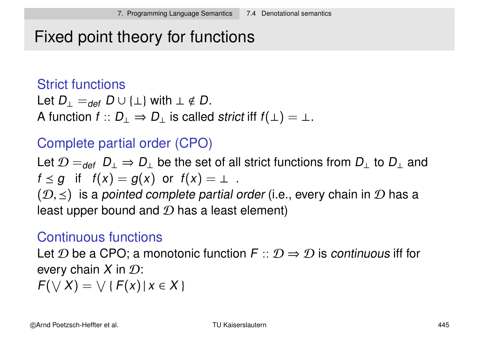### Fixed point theory for functions

#### Strict functions

Let  $D_{\perp} =_{def} D \cup {\perp}$  with  $\perp \notin D$ . A function  $f$  ::  $D_{\perp} \Rightarrow D_{\perp}$  is called strict iff  $f(\perp) = \perp$ .

### Complete partial order (CPO)

Let  $\mathcal{D}=_{def}D_{\perp}\Rightarrow D_{\perp}$  be the set of all strict functions from  $D_{\perp}$  to  $D_{\perp}$  and  $f \leq g$  if  $f(x) = g(x)$  or  $f(x) = \perp$ .

 $(\mathcal{D}, \leq)$  is a pointed complete partial order (i.e., every chain in  $\mathcal D$  has a least upper bound and  $D$  has a least element)

### Continuous functions

Let D be a CPO; a monotonic function  $F:: \mathcal{D} \Rightarrow \mathcal{D}$  is continuous iff for every chain  $X$  in  $\mathcal{D}$ :  $F(\vee X) = \vee \{F(x) | x \in X\}$